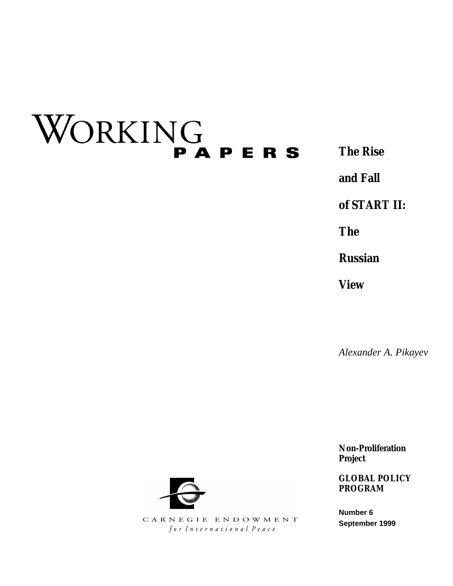# WORKING PAPERS

**The Rise**

**and Fall**

**of START II:**

**The**

**Russian**

**View**

*Alexander A. Pikayev*

**Non-Proliferation Project**

**GLOBAL POLICY PROGRAM**

**Number 6 September 1999**



CARNEGIE ENDOWMENT for International Peace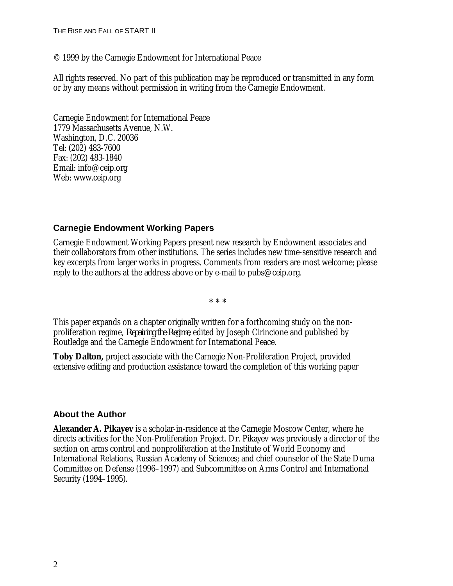## © 1999 by the Carnegie Endowment for International Peace

All rights reserved. No part of this publication may be reproduced or transmitted in any form or by any means without permission in writing from the Carnegie Endowment.

Carnegie Endowment for International Peace 1779 Massachusetts Avenue, N.W. Washington, D.C. 20036 Tel: (202) 483-7600 Fax: (202) 483-1840 Email: info@ceip.org Web: www.ceip.org

## **Carnegie Endowment Working Papers**

Carnegie Endowment Working Papers present new research by Endowment associates and their collaborators from other institutions. The series includes new time-sensitive research and key excerpts from larger works in progress. Comments from readers are most welcome; please reply to the authors at the address above or by e-mail to pubs@ceip.org.

**\* \* \***

This paper expands on a chapter originally written for a forthcoming study on the nonproliferation regime, *Repairing the Regime*, edited by Joseph Cirincione and published by Routledge and the Carnegie Endowment for International Peace.

**Toby Dalton,** project associate with the Carnegie Non-Proliferation Project, provided extensive editing and production assistance toward the completion of this working paper

## **About the Author**

**Alexander A. Pikayev** is a scholar-in-residence at the Carnegie Moscow Center, where he directs activities for the Non-Proliferation Project. Dr. Pikayev was previously a director of the section on arms control and nonproliferation at the Institute of World Economy and International Relations, Russian Academy of Sciences; and chief counselor of the State Duma Committee on Defense (1996–1997) and Subcommittee on Arms Control and International Security (1994–1995).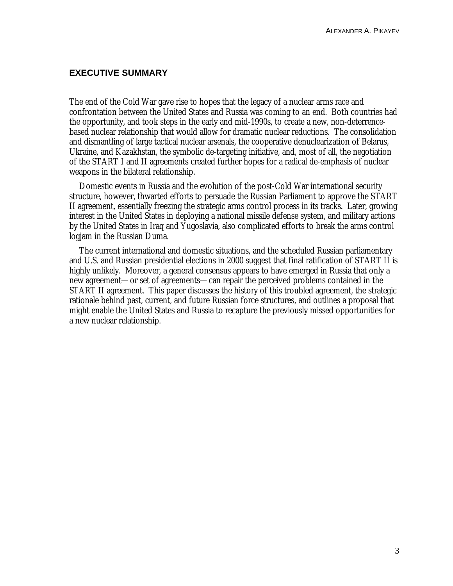## **EXECUTIVE SUMMARY**

The end of the Cold War gave rise to hopes that the legacy of a nuclear arms race and confrontation between the United States and Russia was coming to an end. Both countries had the opportunity, and took steps in the early and mid-1990s, to create a new, non-deterrencebased nuclear relationship that would allow for dramatic nuclear reductions. The consolidation and dismantling of large tactical nuclear arsenals, the cooperative denuclearization of Belarus, Ukraine, and Kazakhstan, the symbolic de-targeting initiative, and, most of all, the negotiation of the START I and II agreements created further hopes for a radical de-emphasis of nuclear weapons in the bilateral relationship.

Domestic events in Russia and the evolution of the post-Cold War international security structure, however, thwarted efforts to persuade the Russian Parliament to approve the START II agreement, essentially freezing the strategic arms control process in its tracks. Later, growing interest in the United States in deploying a national missile defense system, and military actions by the United States in Iraq and Yugoslavia, also complicated efforts to break the arms control logjam in the Russian Duma.

The current international and domestic situations, and the scheduled Russian parliamentary and U.S. and Russian presidential elections in 2000 suggest that final ratification of START II is highly unlikely. Moreover, a general consensus appears to have emerged in Russia that only a new agreement—or set of agreements—can repair the perceived problems contained in the START II agreement. This paper discusses the history of this troubled agreement, the strategic rationale behind past, current, and future Russian force structures, and outlines a proposal that might enable the United States and Russia to recapture the previously missed opportunities for a new nuclear relationship.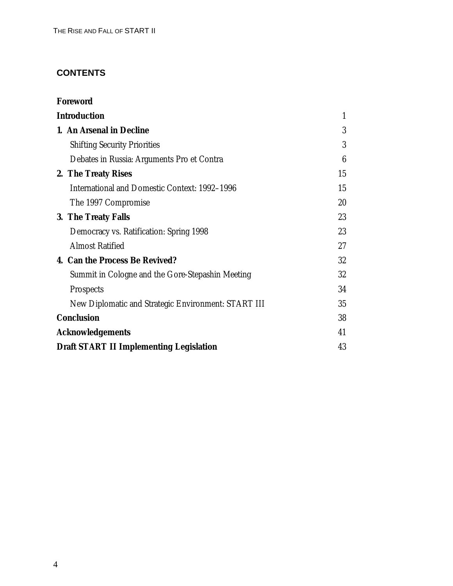## **CONTENTS**

|                         | <b>Foreword</b>                                     |    |
|-------------------------|-----------------------------------------------------|----|
| <b>Introduction</b>     |                                                     |    |
|                         | 1. An Arsenal in Decline                            | 3  |
|                         | <b>Shifting Security Priorities</b>                 | 3  |
|                         | Debates in Russia: Arguments Pro et Contra          | 6  |
|                         | 2. The Treaty Rises                                 | 15 |
|                         | International and Domestic Context: 1992–1996       | 15 |
|                         | The 1997 Compromise                                 | 20 |
|                         | 3. The Treaty Falls                                 | 23 |
|                         | Democracy vs. Ratification: Spring 1998             | 23 |
|                         | <b>Almost Ratified</b>                              | 27 |
|                         | 4. Can the Process Be Revived?                      | 32 |
|                         | Summit in Cologne and the Gore-Stepashin Meeting    | 32 |
|                         | Prospects                                           | 34 |
|                         | New Diplomatic and Strategic Environment: START III | 35 |
| <b>Conclusion</b>       |                                                     | 38 |
| <b>Acknowledgements</b> |                                                     |    |
|                         | <b>Draft START II Implementing Legislation</b>      | 43 |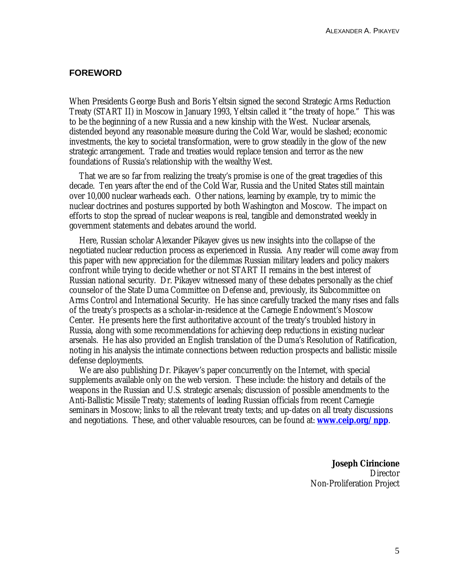## **FOREWORD**

When Presidents George Bush and Boris Yeltsin signed the second Strategic Arms Reduction Treaty (START II) in Moscow in January 1993, Yeltsin called it "the treaty of hope." This was to be the beginning of a new Russia and a new kinship with the West. Nuclear arsenals, distended beyond any reasonable measure during the Cold War, would be slashed; economic investments, the key to societal transformation, were to grow steadily in the glow of the new strategic arrangement. Trade and treaties would replace tension and terror as the new foundations of Russia's relationship with the wealthy West.

That we are so far from realizing the treaty's promise is one of the great tragedies of this decade. Ten years after the end of the Cold War, Russia and the United States still maintain over 10,000 nuclear warheads each. Other nations, learning by example, try to mimic the nuclear doctrines and postures supported by both Washington and Moscow. The impact on efforts to stop the spread of nuclear weapons is real, tangible and demonstrated weekly in government statements and debates around the world.

Here, Russian scholar Alexander Pikayev gives us new insights into the collapse of the negotiated nuclear reduction process as experienced in Russia. Any reader will come away from this paper with new appreciation for the dilemmas Russian military leaders and policy makers confront while trying to decide whether or not START II remains in the best interest of Russian national security. Dr. Pikayev witnessed many of these debates personally as the chief counselor of the State Duma Committee on Defense and, previously, its Subcommittee on Arms Control and International Security. He has since carefully tracked the many rises and falls of the treaty's prospects as a scholar-in-residence at the Carnegie Endowment's Moscow Center. He presents here the first authoritative account of the treaty's troubled history in Russia, along with some recommendations for achieving deep reductions in existing nuclear arsenals. He has also provided an English translation of the Duma's Resolution of Ratification, noting in his analysis the intimate connections between reduction prospects and ballistic missile defense deployments.

We are also publishing Dr. Pikayev's paper concurrently on the Internet, with special supplements available only on the web version. These include: the history and details of the weapons in the Russian and U.S. strategic arsenals; discussion of possible amendments to the Anti-Ballistic Missile Treaty; statements of leading Russian officials from recent Carnegie seminars in Moscow; links to all the relevant treaty texts; and up-dates on all treaty discussions and negotiations. These, and other valuable resources, can be found at: **www.ceip.org/npp**.

> **Joseph Cirincione Director** Non-Proliferation Project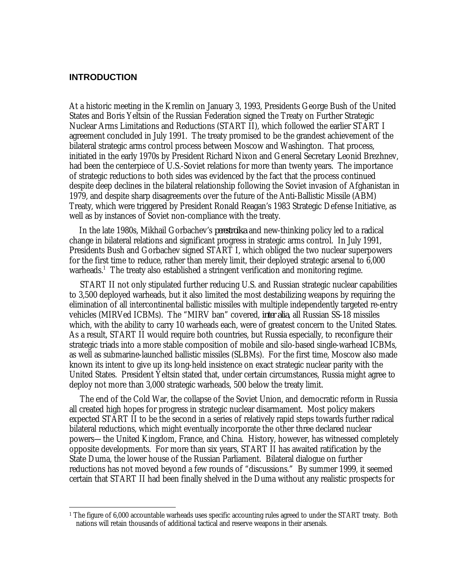## **INTRODUCTION**

 $\overline{a}$ 

At a historic meeting in the Kremlin on January 3, 1993, Presidents George Bush of the United States and Boris Yeltsin of the Russian Federation signed the Treaty on Further Strategic Nuclear Arms Limitations and Reductions (START II), which followed the earlier START I agreement concluded in July 1991. The treaty promised to be the grandest achievement of the bilateral strategic arms control process between Moscow and Washington. That process, initiated in the early 1970s by President Richard Nixon and General Secretary Leonid Brezhnev, had been the centerpiece of U.S.-Soviet relations for more than twenty years. The importance of strategic reductions to both sides was evidenced by the fact that the process continued despite deep declines in the bilateral relationship following the Soviet invasion of Afghanistan in 1979, and despite sharp disagreements over the future of the Anti-Ballistic Missile (ABM) Treaty, which were triggered by President Ronald Reagan's 1983 Strategic Defense Initiative, as well as by instances of Soviet non-compliance with the treaty.

In the late 1980s, Mikhail Gorbachev's *perestroika* and new-thinking policy led to a radical change in bilateral relations and significant progress in strategic arms control. In July 1991, Presidents Bush and Gorbachev signed START I, which obliged the two nuclear superpowers for the first time to reduce, rather than merely limit, their deployed strategic arsenal to 6,000 warheads.<sup>1</sup> The treaty also established a stringent verification and monitoring regime.

START II not only stipulated further reducing U.S. and Russian strategic nuclear capabilities to 3,500 deployed warheads, but it also limited the most destabilizing weapons by requiring the elimination of all intercontinental ballistic missiles with multiple independently targeted re-entry vehicles (MIRVed ICBMs). The "MIRV ban" covered, *inter alia*, all Russian SS-18 missiles which, with the ability to carry 10 warheads each, were of greatest concern to the United States. As a result, START II would require both countries, but Russia especially, to reconfigure their strategic triads into a more stable composition of mobile and silo-based single-warhead ICBMs, as well as submarine-launched ballistic missiles (SLBMs). For the first time, Moscow also made known its intent to give up its long-held insistence on exact strategic nuclear parity with the United States. President Yeltsin stated that, under certain circumstances, Russia might agree to deploy not more than 3,000 strategic warheads, 500 below the treaty limit.

The end of the Cold War, the collapse of the Soviet Union, and democratic reform in Russia all created high hopes for progress in strategic nuclear disarmament. Most policy makers expected START II to be the second in a series of relatively rapid steps towards further radical bilateral reductions, which might eventually incorporate the other three declared nuclear powers—the United Kingdom, France, and China. History, however, has witnessed completely opposite developments. For more than six years, START II has awaited ratification by the State Duma, the lower house of the Russian Parliament. Bilateral dialogue on further reductions has not moved beyond a few rounds of "discussions." By summer 1999, it seemed certain that START II had been finally shelved in the Duma without any realistic prospects for

<sup>1</sup> The figure of 6,000 accountable warheads uses specific accounting rules agreed to under the START treaty. Both nations will retain thousands of additional tactical and reserve weapons in their arsenals.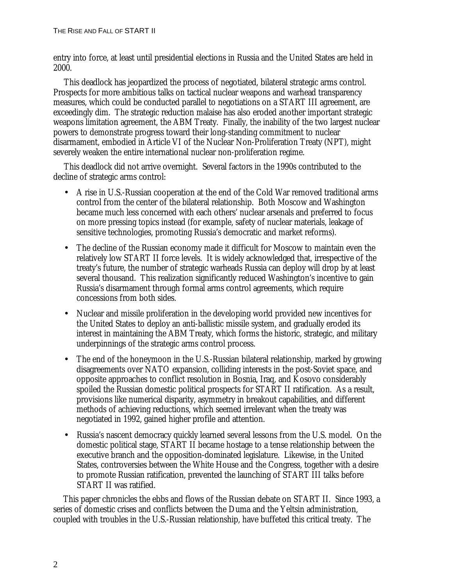entry into force, at least until presidential elections in Russia and the United States are held in 2000.

This deadlock has jeopardized the process of negotiated, bilateral strategic arms control. Prospects for more ambitious talks on tactical nuclear weapons and warhead transparency measures, which could be conducted parallel to negotiations on a START III agreement, are exceedingly dim. The strategic reduction malaise has also eroded another important strategic weapons limitation agreement, the ABM Treaty. Finally, the inability of the two largest nuclear powers to demonstrate progress toward their long-standing commitment to nuclear disarmament, embodied in Article VI of the Nuclear Non-Proliferation Treaty (NPT), might severely weaken the entire international nuclear non-proliferation regime.

This deadlock did not arrive overnight. Several factors in the 1990s contributed to the decline of strategic arms control:

- A rise in U.S.-Russian cooperation at the end of the Cold War removed traditional arms control from the center of the bilateral relationship. Both Moscow and Washington became much less concerned with each others' nuclear arsenals and preferred to focus on more pressing topics instead (for example, safety of nuclear materials, leakage of sensitive technologies, promoting Russia's democratic and market reforms).
- The decline of the Russian economy made it difficult for Moscow to maintain even the relatively low START II force levels. It is widely acknowledged that, irrespective of the treaty's future, the number of strategic warheads Russia can deploy will drop by at least several thousand. This realization significantly reduced Washington's incentive to gain Russia's disarmament through formal arms control agreements, which require concessions from both sides.
- Nuclear and missile proliferation in the developing world provided new incentives for the United States to deploy an anti-ballistic missile system, and gradually eroded its interest in maintaining the ABM Treaty, which forms the historic, strategic, and military underpinnings of the strategic arms control process.
- The end of the honeymoon in the U.S.-Russian bilateral relationship, marked by growing disagreements over NATO expansion, colliding interests in the post-Soviet space, and opposite approaches to conflict resolution in Bosnia, Iraq, and Kosovo considerably spoiled the Russian domestic political prospects for START II ratification. As a result, provisions like numerical disparity, asymmetry in breakout capabilities, and different methods of achieving reductions, which seemed irrelevant when the treaty was negotiated in 1992, gained higher profile and attention.
- Russia's nascent democracy quickly learned several lessons from the U.S. model. On the domestic political stage, START II became hostage to a tense relationship between the executive branch and the opposition-dominated legislature. Likewise, in the United States, controversies between the White House and the Congress, together with a desire to promote Russian ratification, prevented the launching of START III talks before START II was ratified.

This paper chronicles the ebbs and flows of the Russian debate on START II. Since 1993, a series of domestic crises and conflicts between the Duma and the Yeltsin administration, coupled with troubles in the U.S.-Russian relationship, have buffeted this critical treaty. The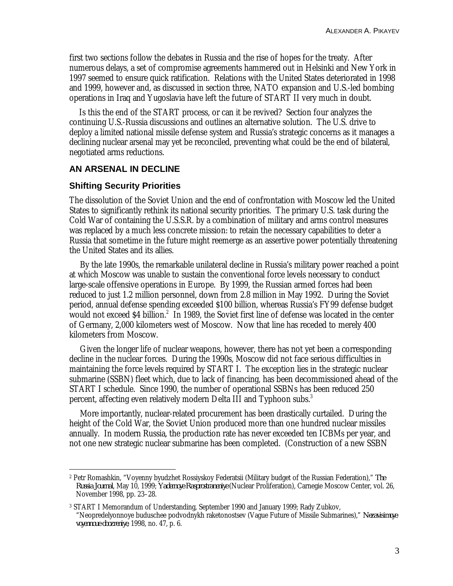first two sections follow the debates in Russia and the rise of hopes for the treaty. After numerous delays, a set of compromise agreements hammered out in Helsinki and New York in 1997 seemed to ensure quick ratification. Relations with the United States deteriorated in 1998 and 1999, however and, as discussed in section three, NATO expansion and U.S.-led bombing operations in Iraq and Yugoslavia have left the future of START II very much in doubt.

Is this the end of the START process, or can it be revived? Section four analyzes the continuing U.S.-Russia discussions and outlines an alternative solution. The U.S. drive to deploy a limited national missile defense system and Russia's strategic concerns as it manages a declining nuclear arsenal may yet be reconciled, preventing what could be the end of bilateral, negotiated arms reductions.

## **AN ARSENAL IN DECLINE**

#### **Shifting Security Priorities**

 $\overline{a}$ 

The dissolution of the Soviet Union and the end of confrontation with Moscow led the United States to significantly rethink its national security priorities. The primary U.S. task during the Cold War of containing the U.S.S.R. by a combination of military and arms control measures was replaced by a much less concrete mission: to retain the necessary capabilities to deter a Russia that sometime in the future might reemerge as an assertive power potentially threatening the United States and its allies.

By the late 1990s, the remarkable unilateral decline in Russia's military power reached a point at which Moscow was unable to sustain the conventional force levels necessary to conduct large-scale offensive operations in Europe. By 1999, the Russian armed forces had been reduced to just 1.2 million personnel, down from 2.8 million in May 1992. During the Soviet period, annual defense spending exceeded \$100 billion, whereas Russia's FY99 defense budget would not exceed \$4 billion.<sup>2</sup> In 1989, the Soviet first line of defense was located in the center of Germany, 2,000 kilometers west of Moscow. Now that line has receded to merely 400 kilometers from Moscow.

Given the longer life of nuclear weapons, however, there has not yet been a corresponding decline in the nuclear forces. During the 1990s, Moscow did not face serious difficulties in maintaining the force levels required by START I. The exception lies in the strategic nuclear submarine (SSBN) fleet which, due to lack of financing, has been decommissioned ahead of the START I schedule. Since 1990, the number of operational SSBNs has been reduced 250 percent, affecting even relatively modern Delta III and Typhoon subs.<sup>3</sup>

More importantly, nuclear-related procurement has been drastically curtailed. During the height of the Cold War, the Soviet Union produced more than one hundred nuclear missiles annually. In modern Russia, the production rate has never exceeded ten ICBMs per year, and not one new strategic nuclear submarine has been completed. (Construction of a new SSBN

<sup>2</sup> Petr Romashkin, "Voyenny byudzhet Rossiyskoy Federatsii (Military budget of the Russian Federation)," *The Russia Journal*, May 10, 1999; *Yadernoye Rasprostraneniye* (Nuclear Proliferation), Carnegie Moscow Center, vol. 26, November 1998, pp. 23–28.

<sup>3</sup> START I Memorandum of Understanding, September 1990 and January 1999; Rady Zubkov, "Neopredelyonnoye buduschee podvodnykh raketonostsev (Vague Future of Missile Submarines)," *Nezavisimoye voyennoue obozreniye*, 1998, no. 47, p. 6.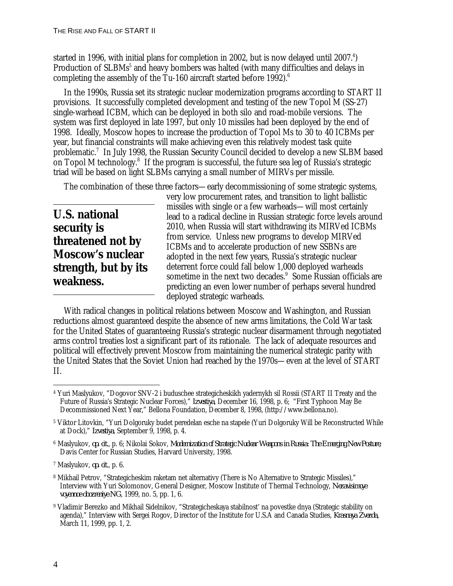started in 1996, with initial plans for completion in 2002, but is now delayed until 2007. $4$ ) Production of SLBMs<sup>5</sup> and heavy bombers was halted (with many difficulties and delays in completing the assembly of the Tu-160 aircraft started before 1992).<sup>6</sup>

In the 1990s, Russia set its strategic nuclear modernization programs according to START II provisions. It successfully completed development and testing of the new Topol M (SS-27) single-warhead ICBM, which can be deployed in both silo and road-mobile versions. The system was first deployed in late 1997, but only 10 missiles had been deployed by the end of 1998. Ideally, Moscow hopes to increase the production of Topol Ms to 30 to 40 ICBMs per year, but financial constraints will make achieving even this relatively modest task quite problematic.<sup>7</sup> In July 1998, the Russian Security Council decided to develop a new SLBM based on Topol M technology.<sup>8</sup> If the program is successful, the future sea leg of Russia's strategic triad will be based on light SLBMs carrying a small number of MIRVs per missile.

The combination of these three factors—early decommissioning of some strategic systems,

**U.S. national security is threatened not by Moscow's nuclear strength, but by its weakness.**

very low procurement rates, and transition to light ballistic missiles with single or a few warheads—will most certainly lead to a radical decline in Russian strategic force levels around 2010, when Russia will start withdrawing its MIRVed ICBMs from service. Unless new programs to develop MIRVed ICBMs and to accelerate production of new SSBNs are adopted in the next few years, Russia's strategic nuclear deterrent force could fall below 1,000 deployed warheads sometime in the next two decades.<sup>9</sup> Some Russian officials are predicting an even lower number of perhaps several hundred deployed strategic warheads.

With radical changes in political relations between Moscow and Washington, and Russian reductions almost guaranteed despite the absence of new arms limitations, the Cold War task for the United States of guaranteeing Russia's strategic nuclear disarmament through negotiated arms control treaties lost a significant part of its rationale. The lack of adequate resources and political will effectively prevent Moscow from maintaining the numerical strategic parity with the United States that the Soviet Union had reached by the 1970s—even at the level of START II.

- 8 Mikhail Petrov, "Strategicheskim raketam net alternativy (There is No Alternative to Strategic Missiles)," Interview with Yuri Solomonov, General Designer, Moscow Institute of Thermal Technology, *Nezavisimoye voyennoe obozreniye NG*, 1999, no. 5, pp. 1, 6.
- 9 Vladimir Berezko and Mikhail Sidelnikov, "Strategicheskaya stabilnost' na povestke dnya (Strategic stability on agenda)," Interview with Sergei Rogov, Director of the Institute for U.S.A and Canada Studies, *Krasnaya Zvezda,* March 11, 1999, pp. 1, 2.

<sup>&</sup>lt;u>.</u> 4 Yuri Maslyukov, "Dogovor SNV-2 i buduschee strategicheskikh yadernykh sil Rossii (START II Treaty and the Future of Russia's Strategic Nuclear Forces)," *Izvestiya*, December 16, 1998, p. 6; "First Typhoon May Be Decommissioned Next Year," Bellona Foundation, December 8, 1998, (http://www.bellona.no).

<sup>5</sup> Viktor Litovkin, "Yuri Dolgoruky budet peredelan esche na stapele (Yuri Dolgoruky Will be Reconstructed While at Dock)," *Izvestiya*, September 9, 1998, p. 4.

<sup>6</sup> Maslyukov, *op. cit.*, p. 6; Nikolai Sokov, *Modernization of Strategic Nuclear Weapons in Russia: The Emerging New Posture*, Davis Center for Russian Studies, Harvard University, 1998.

<sup>7</sup> Maslyukov, *op. cit.*, p. 6.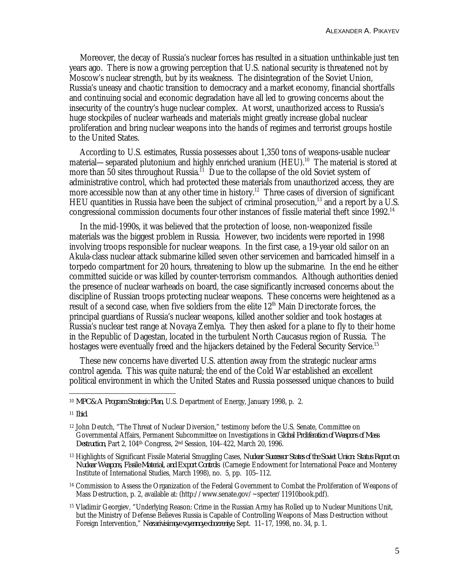Moreover, the decay of Russia's nuclear forces has resulted in a situation unthinkable just ten years ago. There is now a growing perception that U.S. national security is threatened not by Moscow's nuclear strength, but by its weakness. The disintegration of the Soviet Union, Russia's uneasy and chaotic transition to democracy and a market economy, financial shortfalls and continuing social and economic degradation have all led to growing concerns about the insecurity of the country's huge nuclear complex. At worst, unauthorized access to Russia's huge stockpiles of nuclear warheads and materials might greatly increase global nuclear proliferation and bring nuclear weapons into the hands of regimes and terrorist groups hostile to the United States.

According to U.S. estimates, Russia possesses about 1,350 tons of weapons-usable nuclear material—separated plutonium and highly enriched uranium (HEU).<sup>10</sup> The material is stored at more than  $50$  sites throughout Russia.<sup>11</sup> Due to the collapse of the old Soviet system of administrative control, which had protected these materials from unauthorized access, they are more accessible now than at any other time in history.<sup>12</sup> Three cases of diversion of significant HEU quantities in Russia have been the subject of criminal prosecution,<sup>13</sup> and a report by a U.S. congressional commission documents four other instances of fissile material theft since 1992.<sup>14</sup>

In the mid-1990s, it was believed that the protection of loose, non-weaponized fissile materials was the biggest problem in Russia. However, two incidents were reported in 1998 involving troops responsible for nuclear weapons. In the first case, a 19-year old sailor on an Akula-class nuclear attack submarine killed seven other servicemen and barricaded himself in a torpedo compartment for 20 hours, threatening to blow up the submarine. In the end he either committed suicide or was killed by counter-terrorism commandos. Although authorities denied the presence of nuclear warheads on board, the case significantly increased concerns about the discipline of Russian troops protecting nuclear weapons. These concerns were heightened as a result of a second case, when five soldiers from the elite  $12<sup>th</sup>$  Main Directorate forces, the principal guardians of Russia's nuclear weapons, killed another soldier and took hostages at Russia's nuclear test range at Novaya Zemlya. They then asked for a plane to fly to their home in the Republic of Dagestan, located in the turbulent North Caucasus region of Russia. The hostages were eventually freed and the hijackers detained by the Federal Security Service.<sup>15</sup>

These new concerns have diverted U.S. attention away from the strategic nuclear arms control agenda. This was quite natural; the end of the Cold War established an excellent political environment in which the United States and Russia possessed unique chances to build

 $\overline{a}$ 

<sup>10</sup> *MPC&A Program Strategic Plan*, U.S. Department of Energy, January 1998, p. 2.

<sup>11</sup> *Ibid.*

<sup>12</sup> John Deutch, "The Threat of Nuclear Diversion," testimony before the U.S. Senate, Committee on Governmental Affairs, Permanent Subcommittee on Investigations in *Global Proliferation of Weapons of Mass Destruction,* Part 2, 104th Congress, 2nd Session, 104–422, March 20, 1996.

<sup>13</sup> Highlights of Significant Fissile Material Smuggling Cases, *Nuclear Successor States of the Soviet Union: Status Report on Nuclear Weapons, Fissile Material, and Export Controls* (Carnegie Endowment for International Peace and Monterey Institute of International Studies, March 1998), no. 5, pp. 105–112.

<sup>14</sup> Commission to Assess the Organization of the Federal Government to Combat the Proliferation of Weapons of Mass Destruction, p. 2, available at: (http://www.senate.gov/~specter/11910book.pdf).

<sup>15</sup> Vladimir Georgiev, "Underlying Reason: Crime in the Russian Army has Rolled up to Nuclear Munitions Unit, but the Ministry of Defense Believes Russia is Capable of Controlling Weapons of Mass Destruction without Foreign Intervention," *Nezarivisimoye voyennoye obozreniye,* Sept. 11–17, 1998, no. 34, p. 1*.*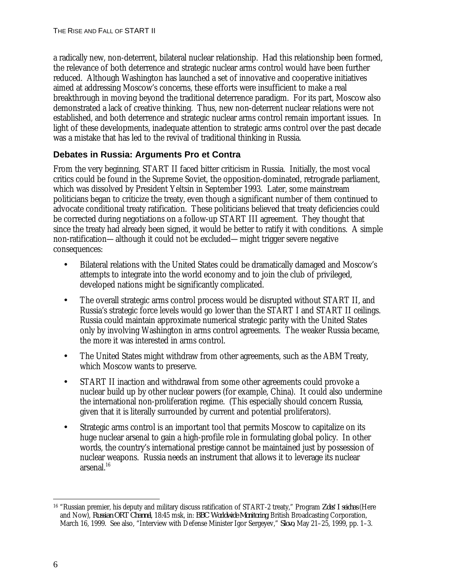a radically new, non-deterrent, bilateral nuclear relationship. Had this relationship been formed, the relevance of both deterrence and strategic nuclear arms control would have been further reduced. Although Washington has launched a set of innovative and cooperative initiatives aimed at addressing Moscow's concerns, these efforts were insufficient to make a real breakthrough in moving beyond the traditional deterrence paradigm. For its part, Moscow also demonstrated a lack of creative thinking. Thus, new non-deterrent nuclear relations were not established, and both deterrence and strategic nuclear arms control remain important issues. In light of these developments, inadequate attention to strategic arms control over the past decade was a mistake that has led to the revival of traditional thinking in Russia.

## **Debates in Russia: Arguments Pro et Contra**

From the very beginning, START II faced bitter criticism in Russia. Initially, the most vocal critics could be found in the Supreme Soviet, the opposition-dominated, retrograde parliament, which was dissolved by President Yeltsin in September 1993. Later, some mainstream politicians began to criticize the treaty, even though a significant number of them continued to advocate conditional treaty ratification. These politicians believed that treaty deficiencies could be corrected during negotiations on a follow-up START III agreement. They thought that since the treaty had already been signed, it would be better to ratify it with conditions. A simple non-ratification—although it could not be excluded—might trigger severe negative consequences:

- Bilateral relations with the United States could be dramatically damaged and Moscow's attempts to integrate into the world economy and to join the club of privileged, developed nations might be significantly complicated.
- The overall strategic arms control process would be disrupted without START II, and Russia's strategic force levels would go lower than the START I and START II ceilings. Russia could maintain approximate numerical strategic parity with the United States only by involving Washington in arms control agreements. The weaker Russia became, the more it was interested in arms control.
- The United States might withdraw from other agreements, such as the ABM Treaty, which Moscow wants to preserve.
- START II inaction and withdrawal from some other agreements could provoke a nuclear build up by other nuclear powers (for example, China). It could also undermine the international non-proliferation regime. (This especially should concern Russia, given that it is literally surrounded by current and potential proliferators).
- Strategic arms control is an important tool that permits Moscow to capitalize on its huge nuclear arsenal to gain a high-profile role in formulating global policy. In other words, the country's international prestige cannot be maintained just by possession of nuclear weapons. Russia needs an instrument that allows it to leverage its nuclear arsenal. $16$

 $\overline{a}$ <sup>16</sup> "Russian premier, his deputy and military discuss ratification of START-2 treaty," Program *Zdes' I seichas* (Here and Now), *Russian ORT Channel*, 18:45 msk, in: *BBC Worldwide Monitoring*, British Broadcasting Corporation, March 16, 1999. See also, "Interview with Defense Minister Igor Sergeyev," *Slovo*, May 21–25, 1999, pp. 1–3.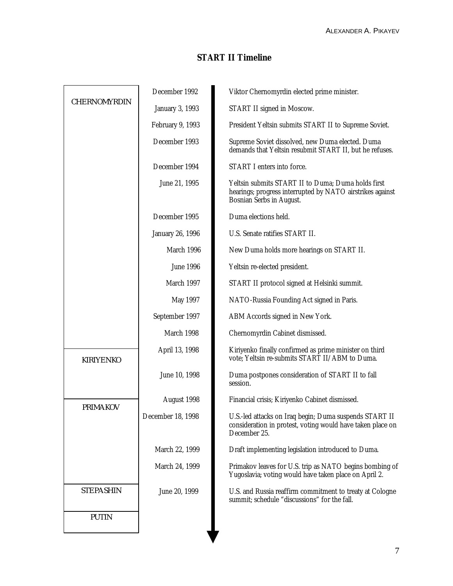## **START II Timeline**

|                     | December 1992     | Viktor Chernomyrdin elected prime minister.                                                                                                 |
|---------------------|-------------------|---------------------------------------------------------------------------------------------------------------------------------------------|
| <b>CHERNOMYRDIN</b> | January 3, 1993   | START II signed in Moscow.                                                                                                                  |
|                     | February 9, 1993  | President Yeltsin submits START II to Supreme Soviet.                                                                                       |
|                     | December 1993     | Supreme Soviet dissolved, new Duma elected. Duma<br>demands that Yeltsin resubmit START II, but he refuses.                                 |
|                     | December 1994     | START I enters into force.                                                                                                                  |
|                     | June 21, 1995     | Yeltsin submits START II to Duma; Duma holds first<br>hearings; progress interrupted by NATO airstrikes against<br>Bosnian Serbs in August. |
|                     | December 1995     | Duma elections held.                                                                                                                        |
|                     | January 26, 1996  | U.S. Senate ratifies START II.                                                                                                              |
|                     | March 1996        | New Duma holds more hearings on START II.                                                                                                   |
|                     | <b>June 1996</b>  | Yeltsin re-elected president.                                                                                                               |
|                     | March 1997        | START II protocol signed at Helsinki summit.                                                                                                |
|                     | May 1997          | NATO-Russia Founding Act signed in Paris.                                                                                                   |
|                     | September 1997    | ABM Accords signed in New York.                                                                                                             |
|                     | March 1998        | Chernomyrdin Cabinet dismissed.                                                                                                             |
| KIRIYENKO           | April 13, 1998    | Kiriyenko finally confirmed as prime minister on third<br>vote; Yeltsin re-submits START II/ABM to Duma.                                    |
|                     | June 10, 1998     | Duma postpones consideration of START II to fall<br>session.                                                                                |
| PRIMAKOV            | August 1998       | Financial crisis; Kiriyenko Cabinet dismissed.                                                                                              |
|                     | December 18, 1998 | U.S.-led attacks on Iraq begin; Duma suspends START II<br>consideration in protest, voting would have taken place on<br>December 25.        |
|                     | March 22, 1999    | Draft implementing legislation introduced to Duma.                                                                                          |
|                     | March 24, 1999    | Primakov leaves for U.S. trip as NATO begins bombing of<br>Yugoslavia; voting would have taken place on April 2.                            |
| STEPASHIN           | June 20, 1999     | U.S. and Russia reaffirm commitment to treaty at Cologne<br>summit; schedule "discussions" for the fall.                                    |
| <b>PUTIN</b>        |                   |                                                                                                                                             |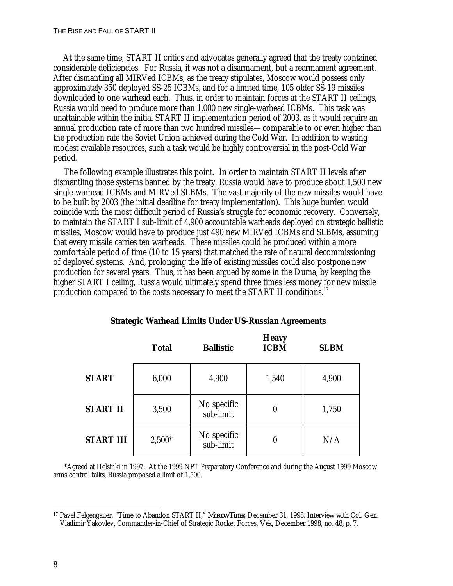At the same time, START II critics and advocates generally agreed that the treaty contained considerable deficiencies. For Russia, it was not a disarmament, but a rearmament agreement. After dismantling all MIRVed ICBMs, as the treaty stipulates, Moscow would possess only approximately 350 deployed SS-25 ICBMs, and for a limited time, 105 older SS-19 missiles downloaded to one warhead each. Thus, in order to maintain forces at the START II ceilings, Russia would need to produce more than 1,000 new single-warhead ICBMs. This task was unattainable within the initial START II implementation period of 2003, as it would require an annual production rate of more than two hundred missiles—comparable to or even higher than the production rate the Soviet Union achieved during the Cold War. In addition to wasting modest available resources, such a task would be highly controversial in the post-Cold War period.

The following example illustrates this point. In order to maintain START II levels after dismantling those systems banned by the treaty, Russia would have to produce about 1,500 new single-warhead ICBMs and MIRVed SLBMs. The vast majority of the new missiles would have to be built by 2003 (the initial deadline for treaty implementation). This huge burden would coincide with the most difficult period of Russia's struggle for economic recovery. Conversely, to maintain the START I sub-limit of 4,900 accountable warheads deployed on strategic ballistic missiles, Moscow would have to produce just 490 new MIRVed ICBMs and SLBMs, assuming that every missile carries ten warheads. These missiles could be produced within a more comfortable period of time (10 to 15 years) that matched the rate of natural decommissioning of deployed systems. And, prolonging the life of existing missiles could also postpone new production for several years. Thus, it has been argued by some in the Duma, by keeping the higher START I ceiling, Russia would ultimately spend three times less money for new missile production compared to the costs necessary to meet the START II conditions.<sup>17</sup>

|                  | <b>Total</b> | <b>Ballistic</b>         | <b>Heavy</b><br><b>ICBM</b> | <b>SLBM</b> |
|------------------|--------------|--------------------------|-----------------------------|-------------|
| <b>START</b>     | 6,000        | 4,900                    | 1,540                       | 4,900       |
| <b>START II</b>  | 3,500        | No specific<br>sub-limit | 0                           | 1,750       |
| <b>START III</b> | $2,500*$     | No specific<br>sub-limit | 0                           | N/A         |

## **Strategic Warhead Limits Under US-Russian Agreements**

\*Agreed at Helsinki in 1997. At the 1999 NPT Preparatory Conference and during the August 1999 Moscow arms control talks, Russia proposed a limit of 1,500.

 $\overline{a}$ <sup>17</sup> Pavel Felgengauer, "Time to Abandon START II," *Moscow Times*, December 31, 1998; Interview with Col. Gen. Vladimir Yakovlev, Commander-in-Chief of Strategic Rocket Forces, *Vek*, December 1998, no. 48, p. 7.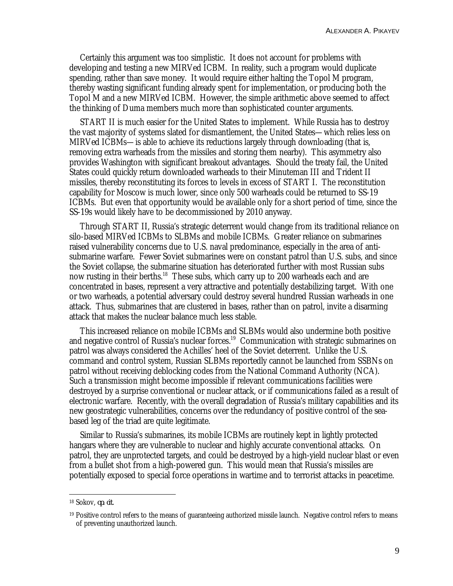Certainly this argument was too simplistic. It does not account for problems with developing and testing a new MIRVed ICBM. In reality, such a program would duplicate spending, rather than save money. It would require either halting the Topol M program, thereby wasting significant funding already spent for implementation, or producing both the Topol M and a new MIRVed ICBM. However, the simple arithmetic above seemed to affect the thinking of Duma members much more than sophisticated counter arguments.

START II is much easier for the United States to implement. While Russia has to destroy the vast majority of systems slated for dismantlement, the United States—which relies less on MIRVed ICBMs—is able to achieve its reductions largely through downloading (that is, removing extra warheads from the missiles and storing them nearby). This asymmetry also provides Washington with significant breakout advantages. Should the treaty fail, the United States could quickly return downloaded warheads to their Minuteman III and Trident II missiles, thereby reconstituting its forces to levels in excess of START I. The reconstitution capability for Moscow is much lower, since only 500 warheads could be returned to SS-19 ICBMs. But even that opportunity would be available only for a short period of time, since the SS-19s would likely have to be decommissioned by 2010 anyway.

Through START II, Russia's strategic deterrent would change from its traditional reliance on silo-based MIRVed ICBMs to SLBMs and mobile ICBMs. Greater reliance on submarines raised vulnerability concerns due to U.S. naval predominance, especially in the area of antisubmarine warfare. Fewer Soviet submarines were on constant patrol than U.S. subs, and since the Soviet collapse, the submarine situation has deteriorated further with most Russian subs now rusting in their berths.<sup>18</sup> These subs, which carry up to 200 warheads each and are concentrated in bases, represent a very attractive and potentially destabilizing target. With one or two warheads, a potential adversary could destroy several hundred Russian warheads in one attack. Thus, submarines that are clustered in bases, rather than on patrol, invite a disarming attack that makes the nuclear balance much less stable.

This increased reliance on mobile ICBMs and SLBMs would also undermine both positive and negative control of Russia's nuclear forces.<sup>19</sup> Communication with strategic submarines on patrol was always considered the Achilles' heel of the Soviet deterrent. Unlike the U.S. command and control system, Russian SLBMs reportedly cannot be launched from SSBNs on patrol without receiving deblocking codes from the National Command Authority (NCA). Such a transmission might become impossible if relevant communications facilities were destroyed by a surprise conventional or nuclear attack, or if communications failed as a result of electronic warfare. Recently, with the overall degradation of Russia's military capabilities and its new geostrategic vulnerabilities, concerns over the redundancy of positive control of the seabased leg of the triad are quite legitimate.

Similar to Russia's submarines, its mobile ICBMs are routinely kept in lightly protected hangars where they are vulnerable to nuclear and highly accurate conventional attacks. On patrol, they are unprotected targets, and could be destroyed by a high-yield nuclear blast or even from a bullet shot from a high-powered gun. This would mean that Russia's missiles are potentially exposed to special force operations in wartime and to terrorist attacks in peacetime.

 $\overline{a}$ 

<sup>18</sup> Sokov, *op. cit.*

<sup>19</sup> Positive control refers to the means of guaranteeing authorized missile launch. Negative control refers to means of preventing unauthorized launch.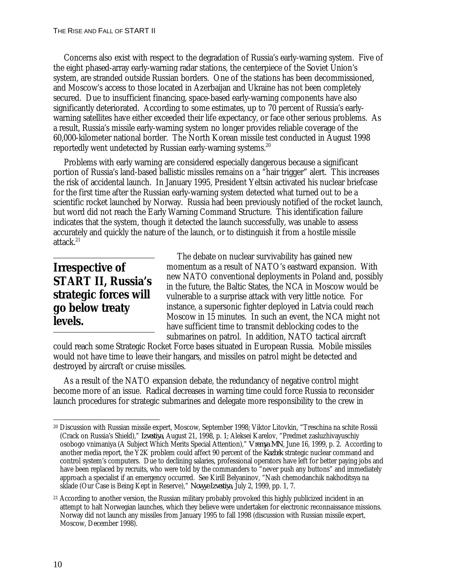Concerns also exist with respect to the degradation of Russia's early-warning system. Five of the eight phased-array early-warning radar stations, the centerpiece of the Soviet Union's system, are stranded outside Russian borders. One of the stations has been decommissioned, and Moscow's access to those located in Azerbaijan and Ukraine has not been completely secured. Due to insufficient financing, space-based early-warning components have also significantly deteriorated. According to some estimates, up to 70 percent of Russia's earlywarning satellites have either exceeded their life expectancy, or face other serious problems. As a result, Russia's missile early-warning system no longer provides reliable coverage of the 60,000-kilometer national border. The North Korean missile test conducted in August 1998 reportedly went undetected by Russian early-warning systems.<sup>20</sup>

Problems with early warning are considered especially dangerous because a significant portion of Russia's land-based ballistic missiles remains on a "hair trigger" alert. This increases the risk of accidental launch. In January 1995, President Yeltsin activated his nuclear briefcase for the first time after the Russian early-warning system detected what turned out to be a scientific rocket launched by Norway. Russia had been previously notified of the rocket launch, but word did not reach the Early Warning Command Structure. This identification failure indicates that the system, though it detected the launch successfully, was unable to assess accurately and quickly the nature of the launch, or to distinguish it from a hostile missile attack.<sup>21</sup>

# **Irrespective of START II, Russia's strategic forces will go below treaty levels.**

The debate on nuclear survivability has gained new momentum as a result of NATO's eastward expansion. With new NATO conventional deployments in Poland and, possibly in the future, the Baltic States, the NCA in Moscow would be vulnerable to a surprise attack with very little notice. For instance, a supersonic fighter deployed in Latvia could reach Moscow in 15 minutes. In such an event, the NCA might not have sufficient time to transmit deblocking codes to the submarines on patrol. In addition, NATO tactical aircraft

could reach some Strategic Rocket Force bases situated in European Russia. Mobile missiles would not have time to leave their hangars, and missiles on patrol might be detected and destroyed by aircraft or cruise missiles.

As a result of the NATO expansion debate, the redundancy of negative control might become more of an issue. Radical decreases in warning time could force Russia to reconsider launch procedures for strategic submarines and delegate more responsibility to the crew in

 $\overline{a}$ <sup>20</sup> Discussion with Russian missile expert, Moscow, September 1998; Viktor Litovkin, "Treschina na schite Rossii (Crack on Russia's Shield)," *Izvestiya*, August 21, 1998, p. 1; Aleksei Karelov, "Predmet zasluzhivayuschiy osobogo vnimaniya (A Subject Which Merits Special Attention)," *Vremya MN*, June 16, 1999, p. 2. According to another media report, the Y2K problem could affect 90 percent of the *Kazbek* strategic nuclear command and control system's computers. Due to declining salaries, professional operators have left for better paying jobs and have been replaced by recruits, who were told by the commanders to "never push any buttons" and immediately approach a specialist if an emergency occurred. See Kirill Belyaninov, "Nash chemodanchik nakhoditsya na sklade (Our Case is Being Kept in Reserve)," *Novyye Izvestiya*, July 2, 1999, pp. 1, 7.

<sup>21</sup> According to another version, the Russian military probably provoked this highly publicized incident in an attempt to halt Norwegian launches, which they believe were undertaken for electronic reconnaissance missions. Norway did not launch any missiles from January 1995 to fall 1998 (discussion with Russian missile expert, Moscow, December 1998).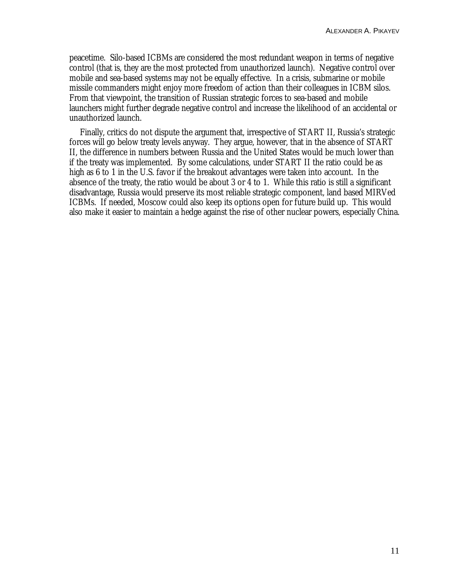peacetime. Silo-based ICBMs are considered the most redundant weapon in terms of negative control (that is, they are the most protected from unauthorized launch). Negative control over mobile and sea-based systems may not be equally effective. In a crisis, submarine or mobile missile commanders might enjoy more freedom of action than their colleagues in ICBM silos. From that viewpoint, the transition of Russian strategic forces to sea-based and mobile launchers might further degrade negative control and increase the likelihood of an accidental or unauthorized launch.

Finally, critics do not dispute the argument that, irrespective of START II, Russia's strategic forces will go below treaty levels anyway. They argue, however, that in the absence of START II, the difference in numbers between Russia and the United States would be much lower than if the treaty was implemented. By some calculations, under START II the ratio could be as high as 6 to 1 in the U.S. favor if the breakout advantages were taken into account. In the absence of the treaty, the ratio would be about 3 or 4 to 1. While this ratio is still a significant disadvantage, Russia would preserve its most reliable strategic component, land based MIRVed ICBMs. If needed, Moscow could also keep its options open for future build up. This would also make it easier to maintain a hedge against the rise of other nuclear powers, especially China.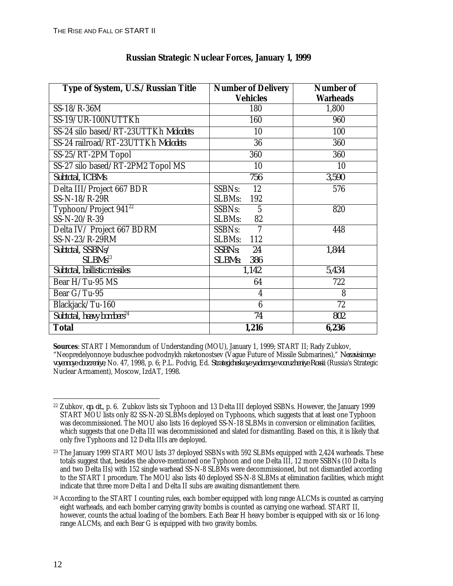| Type of System, U.S./Russian Title    | <b>Number of Delivery</b>       | <b>Number of</b> |
|---------------------------------------|---------------------------------|------------------|
|                                       | <b>Vehicles</b>                 | Warheads         |
| $SS-18/R-36M$                         | 180                             | 1,800            |
| SS-19/UR-100NUTTKh                    | 160                             | 960              |
| SS-24 silo based/RT-23UTTKh Molodets  | 10                              | 100              |
| SS-24 railroad/RT-23UTTKh Molodets    | 36                              | 360              |
| SS-25/RT-2PM Topol                    | 360                             | 360              |
| SS-27 silo based/RT-2PM2 Topol MS     | 10                              | 10               |
| Subtotal, ICBMs                       | 756                             | 3,590            |
| Delta III/Project 667 BDR             | <b>SSBNs:</b><br>12             | 576              |
| $SS-N-18/R-29R$                       | 192<br><b>SLBMs:</b>            |                  |
| Typhoon/Project 941 <sup>22</sup>     | <b>SSBNs:</b><br>$\overline{5}$ | 820              |
| $SS-N-20/R-39$                        | 82<br><b>SLBMs:</b>             |                  |
| Delta IV/Project 667 BDRM             | $\overline{7}$<br><b>SSBNs:</b> | 448              |
| SS-N-23/R-29RM                        | <b>SLBMs:</b><br>112            |                  |
| Subtotal, SSBNs/                      | <i>SSBNs:</i><br>24             | 1,844            |
| $SLBMs^{23}$                          | SLBMs:<br>386                   |                  |
| Subtotal, ballistic missiles          | 1,142                           | 5,434            |
| Bear H/Tu-95 MS                       | 64                              | 722              |
| Bear G/Tu-95                          | 4                               | 8                |
| Blackjack/Tu-160                      | $\overline{6}$                  | 72               |
| Subtotal, heavy bombers <sup>24</sup> | 74                              | 802              |
| <b>Total</b>                          | 1,216                           | 6,236            |

## **Russian Strategic Nuclear Forces, January 1, 1999**

**Sources**: START I Memorandum of Understanding (MOU), January 1, 1999; START II; Rady Zubkov, "Neopredelyonnoye buduschee podvodnykh raketonostsev (Vague Future of Missile Submarines)," *Nezavisimoye voyennoye obozreniye*, No. 47, 1998, p. 6; P.L. Podvig, Ed. *Strategicheskoye yadernoye vooruzheniye Rossii* (Russia's Strategic Nuclear Armament), Moscow, IzdAT, 1998.

 $\overline{a}$ <sup>22</sup> Zubkov, *op. cit.*, p. 6. Zubkov lists six Typhoon and 13 Delta III deployed SSBNs. However, the January 1999 START MOU lists only 82 SS-N-20 SLBMs deployed on Typhoons, which suggests that at least one Typhoon was decommissioned. The MOU also lists 16 deployed SS-N-18 SLBMs in conversion or elimination facilities, which suggests that one Delta III was decommissioned and slated for dismantling. Based on this, it is likely that only five Typhoons and 12 Delta IIIs are deployed.

<sup>&</sup>lt;sup>23</sup> The January 1999 START MOU lists 37 deployed SSBNs with 592 SLBMs equipped with 2,424 warheads. These totals suggest that, besides the above-mentioned one Typhoon and one Delta III, 12 more SSBNs (10 Delta Is and two Delta IIs) with 152 single warhead SS-N-8 SLBMs were decommissioned, but not dismantled according to the START I procedure. The MOU also lists 40 deployed SS-N-8 SLBMs at elimination facilities, which might indicate that three more Delta I and Delta II subs are awaiting dismantlement there.

<sup>&</sup>lt;sup>24</sup> According to the START I counting rules, each bomber equipped with long range ALCMs is counted as carrying eight warheads, and each bomber carrying gravity bombs is counted as carrying one warhead. START II, however, counts the actual loading of the bombers. Each Bear H heavy bomber is equipped with six or 16 longrange ALCMs, and each Bear G is equipped with two gravity bombs.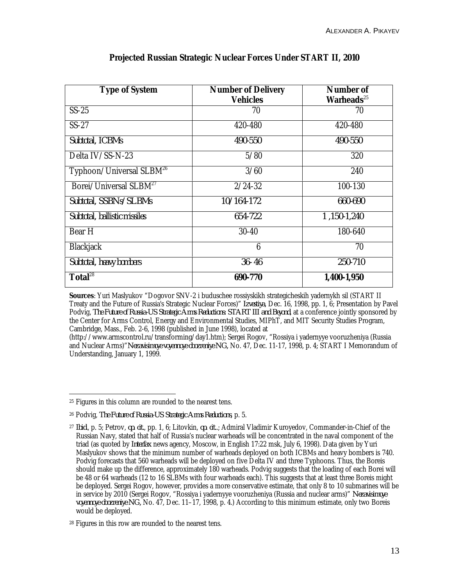| <b>Type of System</b>                | <b>Number of Delivery</b><br><b>Vehicles</b> | <b>Number of</b><br><b>Warheads</b> $^{25}$ |
|--------------------------------------|----------------------------------------------|---------------------------------------------|
| $SS-25$                              | 70                                           | 70                                          |
| $SS-27$                              | 420-480                                      | 420-480                                     |
| Subtotal, ICBMs                      | 490-550                                      | 490-550                                     |
| Delta IV/SS-N-23                     | 5/80                                         | 320                                         |
| Typhoon/Universal SLBM <sup>26</sup> | 3/60                                         | 240                                         |
| Borei/Universal SLBM <sup>27</sup>   | $2/24 - 32$                                  | 100-130                                     |
| Subtotal, SSBNs/SLBMs                | 10/164-172                                   | 660-690                                     |
| Subtotal, ballistic missiles         | 654-722                                      | 1,150-1,240                                 |
| Bear H                               | $30 - 40$                                    | 180-640                                     |
| <b>Blackjack</b>                     | 6                                            | 70                                          |
| Subtotal, heavy bombers              | $36 - 46$                                    | 250-710                                     |
| Total <sup>28</sup>                  | 690-770                                      | 1,400-1,950                                 |

#### **Projected Russian Strategic Nuclear Forces Under START II, 2010**

**Sources**: Yuri Maslyukov "Dogovor SNV-2 i buduschee rossiyskikh strategicheskih yadernykh sil (START II Treaty and the Future of Russia's Strategic Nuclear Forces)" *Izvestiya*, Dec. 16, 1998, pp. 1, 6; Presentation by Pavel Podvig, *The Future of Russia-US Strategic Arms Reductions: START III and Beyond*, at a conference jointly sponsored by the Center for Arms Control, Energy and Environmental Studies, MIPhT, and MIT Security Studies Program, Cambridge, Mass., Feb. 2-6, 1998 (published in June 1998), located at

(http://www.armscontrol.ru/transforming/day1.htm); Sergei Rogov, "Rossiya i yadernyye vooruzheniya (Russia and Nuclear Arms)"*Nezavisimoye voyennoye obozreniye NG,* No. 47, Dec. 11-17, 1998, p. 4; START I Memorandum of Understanding, January 1, 1999.

 $\overline{a}$ <sup>25</sup> Figures in this column are rounded to the nearest tens.

<sup>26</sup> Podvig, *The Future of Russia-US Strategic Arms Reductions*, p. 5.

<sup>27</sup> *Ibid.*, p. 5; Petrov, *op. cit.*, pp. 1, 6; Litovkin, *op. cit.*.; Admiral Vladimir Kuroyedov, Commander-in-Chief of the Russian Navy, stated that half of Russia's nuclear warheads will be concentrated in the naval component of the triad (as quoted by *Interfax* news agency, Moscow, in English 17:22 msk, July 6, 1998). Data given by Yuri Maslyukov shows that the minimum number of warheads deployed on both ICBMs and heavy bombers is 740. Podvig forecasts that 560 warheads will be deployed on five Delta IV and three Typhoons. Thus, the Boreis should make up the difference, approximately 180 warheads. Podvig suggests that the loading of each Borei will be 48 or 64 warheads (12 to 16 SLBMs with four warheads each). This suggests that at least three Boreis might be deployed. Sergei Rogov, however, provides a more conservative estimate, that only 8 to 10 submarines will be in service by 2010 (Sergei Rogov, "Rossiya i yadernyye vooruzheniya (Russia and nuclear arms)" *Nezavisimoye voyennoye obozreniye NG,* No. 47, Dec. 11–17, 1998, p. 4.) According to this minimum estimate, only two Boreis would be deployed.

<sup>28</sup> Figures in this row are rounded to the nearest tens.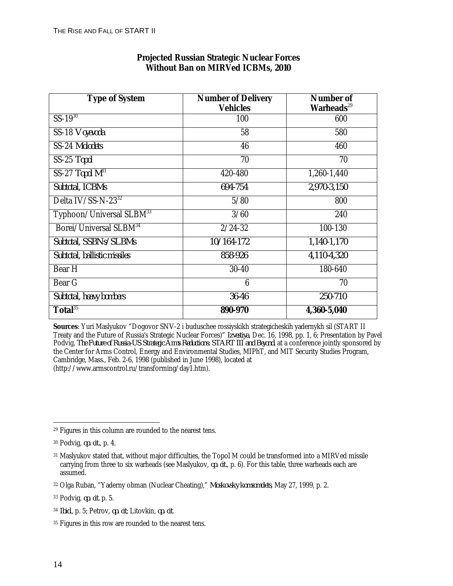| <b>Type of System</b>                | <b>Number of Delivery</b> | <b>Number of</b>              |
|--------------------------------------|---------------------------|-------------------------------|
|                                      | <b>Vehicles</b>           | <b>Warheads</b> <sup>29</sup> |
| $SS-19^{30}$                         | 100                       | 600                           |
| SS-18 Voyevoda                       | 58                        | 580                           |
| SS-24 Molodets                       | 46                        | 460                           |
| SS-25 Topol                          | 70                        | 70                            |
| SS-27 Topol $M^{31}$                 | 420-480                   | 1,260-1,440                   |
| Subtotal, ICBMs                      | 694-754                   | 2,970-3,150                   |
| Delta IV/SS-N-23 <sup>32</sup>       | 5/80                      | 800                           |
| Typhoon/Universal SLBM <sup>33</sup> | 3/60                      | 240                           |
| Borei/Universal SLBM <sup>34</sup>   | $2/24 - 32$               | 100-130                       |
| Subtotal, SSBNs/SLBMs                | 10/164-172                | 1,140-1,170                   |
| Subtotal, ballistic missiles         | 858-926                   | 4,110-4,320                   |
| Bear H                               | $30 - 40$                 | 180-640                       |
| Bear G                               | 6                         | 70                            |
| Subtotal, heavy bombers              | 36-46                     | 250-710                       |
| Total <sup>35</sup>                  | 890-970                   | 4,360-5,040                   |

## **Projected Russian Strategic Nuclear Forces Without Ban on MIRVed ICBMs, 2010**

**Sources**: Yuri Maslyukov "Dogovor SNV-2 i buduschee rossiyskikh strategicheskih yadernykh sil (START II Treaty and the Future of Russia's Strategic Nuclear Forces)" *Izvestiya*, Dec. 16, 1998, pp. 1, 6; Presentation by Pavel Podvig, *The Future of Russia-US Strategic Arms Reductions: START III and Beyond*, at a conference jointly sponsored by the Center for Arms Control, Energy and Environmental Studies, MIPhT, and MIT Security Studies Program, Cambridge, Mass., Feb. 2-6, 1998 (published in June 1998), located at (http://www.armscontrol.ru/transforming/day1.htm).

 $\overline{a}$ <sup>29</sup> Figures in this column are rounded to the nearest tens.

<sup>30</sup> Podvig, *op. cit.*, p. 4.

<sup>31</sup> Maslyukov stated that, without major difficulties, the Topol M could be transformed into a MIRVed missile carrying from three to six warheads (see Maslyukov, *op. cit.*, p. 6). For this table, three warheads each are assumed.

<sup>32</sup> Olga Ruban, "Yaderny obman (Nuclear Cheating)," *Moskovsky komsomolets*, May 27, 1999, p. 2.

<sup>33</sup> Podvig, *op. cit.* p. 5.

<sup>34</sup> *Ibid.*, p. 5; Petrov, *op. cit*; Litovkin, *op. cit*.

<sup>35</sup> Figures in this row are rounded to the nearest tens.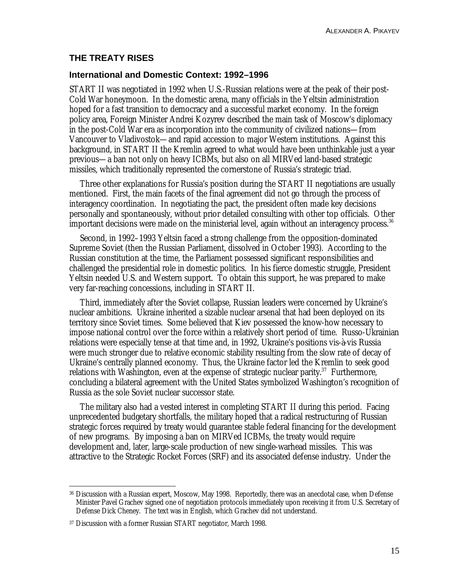## **THE TREATY RISES**

## **International and Domestic Context: 1992–1996**

START II was negotiated in 1992 when U.S.-Russian relations were at the peak of their post-Cold War honeymoon. In the domestic arena, many officials in the Yeltsin administration hoped for a fast transition to democracy and a successful market economy. In the foreign policy area, Foreign Minister Andrei Kozyrev described the main task of Moscow's diplomacy in the post-Cold War era as incorporation into the community of civilized nations—from Vancouver to Vladivostok—and rapid accession to major Western institutions. Against this background, in START II the Kremlin agreed to what would have been unthinkable just a year previous—a ban not only on heavy ICBMs, but also on all MIRVed land-based strategic missiles, which traditionally represented the cornerstone of Russia's strategic triad.

Three other explanations for Russia's position during the START II negotiations are usually mentioned. First, the main facets of the final agreement did not go through the process of interagency coordination. In negotiating the pact, the president often made key decisions personally and spontaneously, without prior detailed consulting with other top officials. Other important decisions were made on the ministerial level, again without an interagency process.<sup>36</sup>

Second, in 1992–1993 Yeltsin faced a strong challenge from the opposition-dominated Supreme Soviet (then the Russian Parliament, dissolved in October 1993). According to the Russian constitution at the time, the Parliament possessed significant responsibilities and challenged the presidential role in domestic politics. In his fierce domestic struggle, President Yeltsin needed U.S. and Western support. To obtain this support, he was prepared to make very far-reaching concessions, including in START II.

Third, immediately after the Soviet collapse, Russian leaders were concerned by Ukraine's nuclear ambitions. Ukraine inherited a sizable nuclear arsenal that had been deployed on its territory since Soviet times. Some believed that Kiev possessed the know-how necessary to impose national control over the force within a relatively short period of time. Russo-Ukrainian relations were especially tense at that time and, in 1992, Ukraine's positions vis-à-vis Russia were much stronger due to relative economic stability resulting from the slow rate of decay of Ukraine's centrally planned economy. Thus, the Ukraine factor led the Kremlin to seek good relations with Washington, even at the expense of strategic nuclear parity.<sup>37</sup> Furthermore, concluding a bilateral agreement with the United States symbolized Washington's recognition of Russia as the sole Soviet nuclear successor state.

The military also had a vested interest in completing START II during this period. Facing unprecedented budgetary shortfalls, the military hoped that a radical restructuring of Russian strategic forces required by treaty would guarantee stable federal financing for the development of new programs. By imposing a ban on MIRVed ICBMs, the treaty would require development and, later, large-scale production of new single-warhead missiles. This was attractive to the Strategic Rocket Forces (SRF) and its associated defense industry. Under the

 $\overline{a}$ 

<sup>36</sup> Discussion with a Russian expert, Moscow, May 1998. Reportedly, there was an anecdotal case, when Defense Minister Pavel Grachev signed one of negotiation protocols immediately upon receiving it from U.S. Secretary of Defense Dick Cheney. The text was in English, which Grachev did not understand.

<sup>37</sup> Discussion with a former Russian START negotiator, March 1998.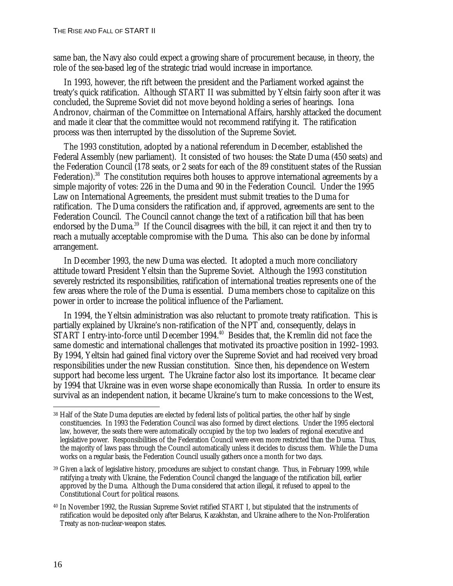same ban, the Navy also could expect a growing share of procurement because, in theory, the role of the sea-based leg of the strategic triad would increase in importance.

In 1993, however, the rift between the president and the Parliament worked against the treaty's quick ratification. Although START II was submitted by Yeltsin fairly soon after it was concluded, the Supreme Soviet did not move beyond holding a series of hearings. Iona Andronov, chairman of the Committee on International Affairs, harshly attacked the document and made it clear that the committee would not recommend ratifying it. The ratification process was then interrupted by the dissolution of the Supreme Soviet.

The 1993 constitution, adopted by a national referendum in December, established the Federal Assembly (new parliament). It consisted of two houses: the State Duma (450 seats) and the Federation Council (178 seats, or 2 seats for each of the 89 constituent states of the Russian Federation).<sup>38</sup> The constitution requires both houses to approve international agreements by a simple majority of votes: 226 in the Duma and 90 in the Federation Council. Under the 1995 Law on International Agreements, the president must submit treaties to the Duma for ratification. The Duma considers the ratification and, if approved, agreements are sent to the Federation Council. The Council cannot change the text of a ratification bill that has been endorsed by the Duma.<sup>39</sup> If the Council disagrees with the bill, it can reject it and then try to reach a mutually acceptable compromise with the Duma. This also can be done by informal arrangement.

In December 1993, the new Duma was elected. It adopted a much more conciliatory attitude toward President Yeltsin than the Supreme Soviet. Although the 1993 constitution severely restricted its responsibilities, ratification of international treaties represents one of the few areas where the role of the Duma is essential. Duma members chose to capitalize on this power in order to increase the political influence of the Parliament.

In 1994, the Yeltsin administration was also reluctant to promote treaty ratification. This is partially explained by Ukraine's non-ratification of the NPT and, consequently, delays in START I entry-into-force until December 1994.<sup>40</sup> Besides that, the Kremlin did not face the same domestic and international challenges that motivated its proactive position in 1992–1993. By 1994, Yeltsin had gained final victory over the Supreme Soviet and had received very broad responsibilities under the new Russian constitution. Since then, his dependence on Western support had become less urgent. The Ukraine factor also lost its importance. It became clear by 1994 that Ukraine was in even worse shape economically than Russia. In order to ensure its survival as an independent nation, it became Ukraine's turn to make concessions to the West,

 $\overline{a}$ <sup>38</sup> Half of the State Duma deputies are elected by federal lists of political parties, the other half by single constituencies. In 1993 the Federation Council was also formed by direct elections. Under the 1995 electoral law, however, the seats there were automatically occupied by the top two leaders of regional executive and legislative power. Responsibilities of the Federation Council were even more restricted than the Duma. Thus, the majority of laws pass through the Council automatically unless it decides to discuss them. While the Duma works on a regular basis, the Federation Council usually gathers once a month for two days.

<sup>39</sup> Given a lack of legislative history, procedures are subject to constant change. Thus, in February 1999, while ratifying a treaty with Ukraine, the Federation Council changed the language of the ratification bill, earlier approved by the Duma. Although the Duma considered that action illegal, it refused to appeal to the Constitutional Court for political reasons.

<sup>40</sup> In November 1992, the Russian Supreme Soviet ratified START I, but stipulated that the instruments of ratification would be deposited only after Belarus, Kazakhstan, and Ukraine adhere to the Non-Proliferation Treaty as non-nuclear-weapon states.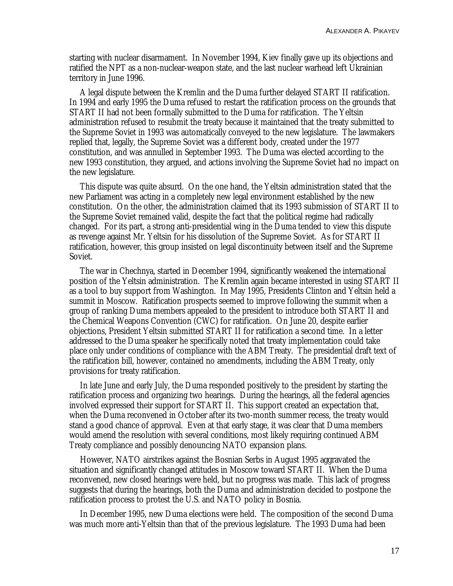starting with nuclear disarmament. In November 1994, Kiev finally gave up its objections and ratified the NPT as a non-nuclear-weapon state, and the last nuclear warhead left Ukrainian territory in June 1996.

A legal dispute between the Kremlin and the Duma further delayed START II ratification. In 1994 and early 1995 the Duma refused to restart the ratification process on the grounds that START II had not been formally submitted to the Duma for ratification. The Yeltsin administration refused to resubmit the treaty because it maintained that the treaty submitted to the Supreme Soviet in 1993 was automatically conveyed to the new legislature. The lawmakers replied that, legally, the Supreme Soviet was a different body, created under the 1977 constitution, and was annulled in September 1993. The Duma was elected according to the new 1993 constitution, they argued, and actions involving the Supreme Soviet had no impact on the new legislature.

This dispute was quite absurd. On the one hand, the Yeltsin administration stated that the new Parliament was acting in a completely new legal environment established by the new constitution. On the other, the administration claimed that its 1993 submission of START II to the Supreme Soviet remained valid, despite the fact that the political regime had radically changed. For its part, a strong anti-presidential wing in the Duma tended to view this dispute as revenge against Mr. Yeltsin for his dissolution of the Supreme Soviet. As for START II ratification, however, this group insisted on legal discontinuity between itself and the Supreme Soviet.

The war in Chechnya, started in December 1994, significantly weakened the international position of the Yeltsin administration. The Kremlin again became interested in using START II as a tool to buy support from Washington. In May 1995, Presidents Clinton and Yeltsin held a summit in Moscow. Ratification prospects seemed to improve following the summit when a group of ranking Duma members appealed to the president to introduce both START II and the Chemical Weapons Convention (CWC) for ratification. On June 20, despite earlier objections, President Yeltsin submitted START II for ratification a second time. In a letter addressed to the Duma speaker he specifically noted that treaty implementation could take place only under conditions of compliance with the ABM Treaty. The presidential draft text of the ratification bill, however, contained no amendments, including the ABM Treaty, only provisions for treaty ratification.

In late June and early July, the Duma responded positively to the president by starting the ratification process and organizing two hearings. During the hearings, all the federal agencies involved expressed their support for START II. This support created an expectation that, when the Duma reconvened in October after its two-month summer recess, the treaty would stand a good chance of approval. Even at that early stage, it was clear that Duma members would amend the resolution with several conditions, most likely requiring continued ABM Treaty compliance and possibly denouncing NATO expansion plans.

However, NATO airstrikes against the Bosnian Serbs in August 1995 aggravated the situation and significantly changed attitudes in Moscow toward START II. When the Duma reconvened, new closed hearings were held, but no progress was made. This lack of progress suggests that during the hearings, both the Duma and administration decided to postpone the ratification process to protest the U.S. and NATO policy in Bosnia.

In December 1995, new Duma elections were held. The composition of the second Duma was much more anti-Yeltsin than that of the previous legislature. The 1993 Duma had been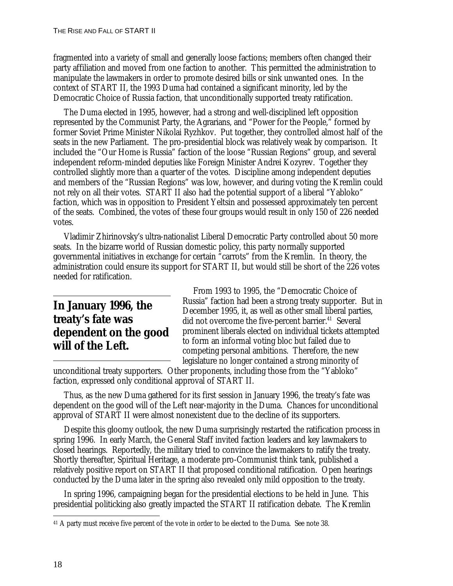fragmented into a variety of small and generally loose factions; members often changed their party affiliation and moved from one faction to another. This permitted the administration to manipulate the lawmakers in order to promote desired bills or sink unwanted ones. In the context of START II, the 1993 Duma had contained a significant minority, led by the Democratic Choice of Russia faction, that unconditionally supported treaty ratification.

The Duma elected in 1995, however, had a strong and well-disciplined left opposition represented by the Communist Party, the Agrarians, and "Power for the People," formed by former Soviet Prime Minister Nikolai Ryzhkov. Put together, they controlled almost half of the seats in the new Parliament. The pro-presidential block was relatively weak by comparison. It included the "Our Home is Russia" faction of the loose "Russian Regions" group, and several independent reform-minded deputies like Foreign Minister Andrei Kozyrev. Together they controlled slightly more than a quarter of the votes. Discipline among independent deputies and members of the "Russian Regions" was low, however, and during voting the Kremlin could not rely on all their votes. START II also had the potential support of a liberal "Yabloko" faction, which was in opposition to President Yeltsin and possessed approximately ten percent of the seats. Combined, the votes of these four groups would result in only 150 of 226 needed votes.

Vladimir Zhirinovsky's ultra-nationalist Liberal Democratic Party controlled about 50 more seats. In the bizarre world of Russian domestic policy, this party normally supported governmental initiatives in exchange for certain "carrots" from the Kremlin. In theory, the administration could ensure its support for START II, but would still be short of the 226 votes needed for ratification.

## **In January 1996, the treaty's fate was dependent on the good will of the Left.**

From 1993 to 1995, the "Democratic Choice of Russia" faction had been a strong treaty supporter. But in December 1995, it, as well as other small liberal parties, did not overcome the five-percent barrier.<sup>41</sup> Several prominent liberals elected on individual tickets attempted to form an informal voting bloc but failed due to competing personal ambitions. Therefore, the new legislature no longer contained a strong minority of

unconditional treaty supporters. Other proponents, including those from the "Yabloko" faction, expressed only conditional approval of START II.

Thus, as the new Duma gathered for its first session in January 1996, the treaty's fate was dependent on the good will of the Left near-majority in the Duma. Chances for unconditional approval of START II were almost nonexistent due to the decline of its supporters.

Despite this gloomy outlook, the new Duma surprisingly restarted the ratification process in spring 1996. In early March, the General Staff invited faction leaders and key lawmakers to closed hearings. Reportedly, the military tried to convince the lawmakers to ratify the treaty. Shortly thereafter, Spiritual Heritage, a moderate pro-Communist think tank, published a relatively positive report on START II that proposed conditional ratification. Open hearings conducted by the Duma later in the spring also revealed only mild opposition to the treaty.

In spring 1996, campaigning began for the presidential elections to be held in June. This presidential politicking also greatly impacted the START II ratification debate. The Kremlin

 $\overline{a}$ <sup>41</sup> A party must receive five percent of the vote in order to be elected to the Duma. See note 38.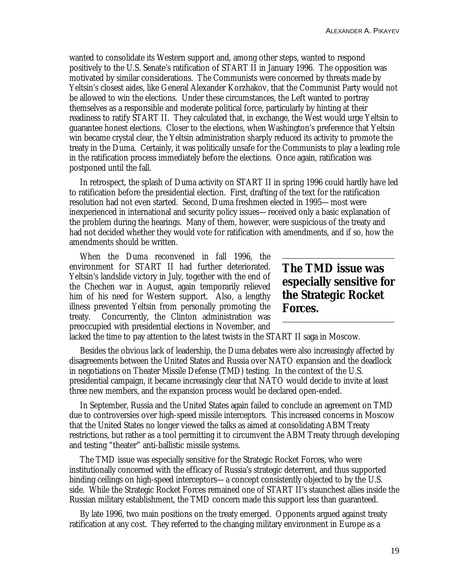wanted to consolidate its Western support and, among other steps, wanted to respond positively to the U.S. Senate's ratification of START II in January 1996. The opposition was motivated by similar considerations. The Communists were concerned by threats made by Yeltsin's closest aides, like General Alexander Korzhakov, that the Communist Party would not be allowed to win the elections. Under these circumstances, the Left wanted to portray themselves as a responsible and moderate political force, particularly by hinting at their readiness to ratify START II. They calculated that, in exchange, the West would urge Yeltsin to guarantee honest elections. Closer to the elections, when Washington's preference that Yeltsin win became crystal clear, the Yeltsin administration sharply reduced its activity to promote the treaty in the Duma. Certainly, it was politically unsafe for the Communists to play a leading role in the ratification process immediately before the elections. Once again, ratification was postponed until the fall.

In retrospect, the splash of Duma activity on START II in spring 1996 could hardly have led to ratification before the presidential election. First, drafting of the text for the ratification resolution had not even started. Second, Duma freshmen elected in 1995—most were inexperienced in international and security policy issues—received only a basic explanation of the problem during the hearings. Many of them, however, were suspicious of the treaty and had not decided whether they would vote for ratification with amendments, and if so, how the amendments should be written.

When the Duma reconvened in fall 1996, the environment for START II had further deteriorated. Yeltsin's landslide victory in July, together with the end of the Chechen war in August, again temporarily relieved him of his need for Western support. Also, a lengthy illness prevented Yeltsin from personally promoting the treaty. Concurrently, the Clinton administration was preoccupied with presidential elections in November, and

**The TMD issue was especially sensitive for the Strategic Rocket Forces.**

lacked the time to pay attention to the latest twists in the START II saga in Moscow.

Besides the obvious lack of leadership, the Duma debates were also increasingly affected by disagreements between the United States and Russia over NATO expansion and the deadlock in negotiations on Theater Missile Defense (TMD) testing. In the context of the U.S. presidential campaign, it became increasingly clear that NATO would decide to invite at least three new members, and the expansion process would be declared open-ended.

In September, Russia and the United States again failed to conclude an agreement on TMD due to controversies over high-speed missile interceptors. This increased concerns in Moscow that the United States no longer viewed the talks as aimed at consolidating ABM Treaty restrictions, but rather as a tool permitting it to circumvent the ABM Treaty through developing and testing "theater" anti-ballistic missile systems.

The TMD issue was especially sensitive for the Strategic Rocket Forces, who were institutionally concerned with the efficacy of Russia's strategic deterrent, and thus supported binding ceilings on high-speed interceptors—a concept consistently objected to by the U.S. side. While the Strategic Rocket Forces remained one of START II's staunchest allies inside the Russian military establishment, the TMD concern made this support less than guaranteed.

By late 1996, two main positions on the treaty emerged. Opponents argued against treaty ratification at any cost. They referred to the changing military environment in Europe as a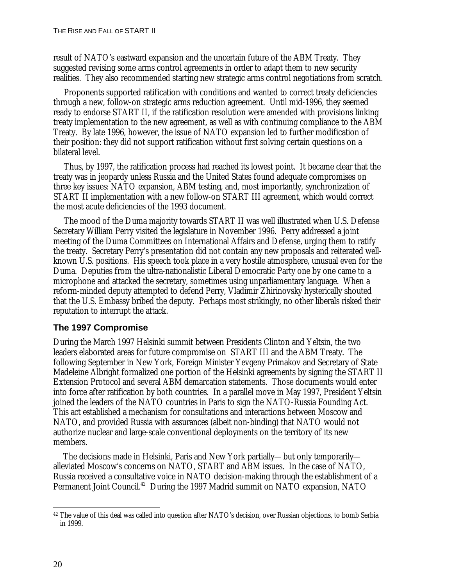result of NATO's eastward expansion and the uncertain future of the ABM Treaty. They suggested revising some arms control agreements in order to adapt them to new security realities. They also recommended starting new strategic arms control negotiations from scratch.

Proponents supported ratification with conditions and wanted to correct treaty deficiencies through a new, follow-on strategic arms reduction agreement. Until mid-1996, they seemed ready to endorse START II, if the ratification resolution were amended with provisions linking treaty implementation to the new agreement, as well as with continuing compliance to the ABM Treaty. By late 1996, however, the issue of NATO expansion led to further modification of their position: they did not support ratification without first solving certain questions on a bilateral level.

Thus, by 1997, the ratification process had reached its lowest point. It became clear that the treaty was in jeopardy unless Russia and the United States found adequate compromises on three key issues: NATO expansion, ABM testing, and, most importantly, synchronization of START II implementation with a new follow-on START III agreement, which would correct the most acute deficiencies of the 1993 document.

The mood of the Duma majority towards START II was well illustrated when U.S. Defense Secretary William Perry visited the legislature in November 1996. Perry addressed a joint meeting of the Duma Committees on International Affairs and Defense, urging them to ratify the treaty. Secretary Perry's presentation did not contain any new proposals and reiterated wellknown U.S. positions. His speech took place in a very hostile atmosphere, unusual even for the Duma. Deputies from the ultra-nationalistic Liberal Democratic Party one by one came to a microphone and attacked the secretary, sometimes using unparliamentary language. When a reform-minded deputy attempted to defend Perry, Vladimir Zhirinovsky hysterically shouted that the U.S. Embassy bribed the deputy. Perhaps most strikingly, no other liberals risked their reputation to interrupt the attack.

## **The 1997 Compromise**

During the March 1997 Helsinki summit between Presidents Clinton and Yeltsin, the two leaders elaborated areas for future compromise on START III and the ABM Treaty. The following September in New York, Foreign Minister Yevgeny Primakov and Secretary of State Madeleine Albright formalized one portion of the Helsinki agreements by signing the START II Extension Protocol and several ABM demarcation statements. Those documents would enter into force after ratification by both countries. In a parallel move in May 1997, President Yeltsin joined the leaders of the NATO countries in Paris to sign the NATO-Russia Founding Act. This act established a mechanism for consultations and interactions between Moscow and NATO, and provided Russia with assurances (albeit non-binding) that NATO would not authorize nuclear and large-scale conventional deployments on the territory of its new members.

The decisions made in Helsinki, Paris and New York partially—but only temporarily alleviated Moscow's concerns on NATO, START and ABM issues. In the case of NATO, Russia received a consultative voice in NATO decision-making through the establishment of a Permanent Joint Council.<sup>42</sup> During the 1997 Madrid summit on NATO expansion, NATO

 $\overline{a}$ <sup>42</sup> The value of this deal was called into question after NATO's decision, over Russian objections, to bomb Serbia in 1999.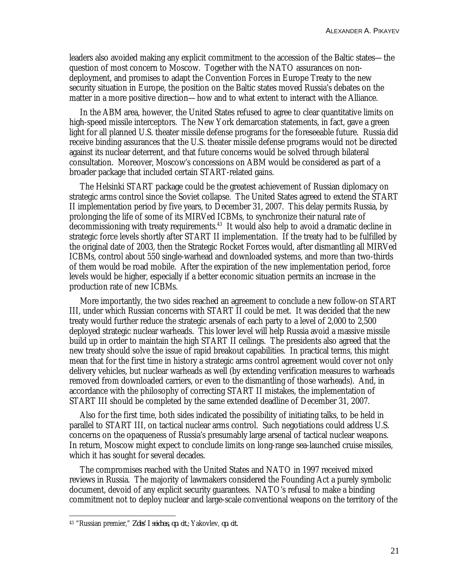leaders also avoided making any explicit commitment to the accession of the Baltic states—the question of most concern to Moscow. Together with the NATO assurances on nondeployment, and promises to adapt the Convention Forces in Europe Treaty to the new security situation in Europe, the position on the Baltic states moved Russia's debates on the matter in a more positive direction—how and to what extent to interact with the Alliance.

In the ABM area, however, the United States refused to agree to clear quantitative limits on high-speed missile interceptors. The New York demarcation statements, in fact, gave a green light for all planned U.S. theater missile defense programs for the foreseeable future. Russia did receive binding assurances that the U.S. theater missile defense programs would not be directed against its nuclear deterrent, and that future concerns would be solved through bilateral consultation. Moreover, Moscow's concessions on ABM would be considered as part of a broader package that included certain START-related gains.

The Helsinki START package could be the greatest achievement of Russian diplomacy on strategic arms control since the Soviet collapse. The United States agreed to extend the START II implementation period by five years, to December 31, 2007. This delay permits Russia, by prolonging the life of some of its MIRVed ICBMs, to synchronize their natural rate of  $decommissioning with treaty requirements.<sup>43</sup>$  It would also help to avoid a dramatic decline in strategic force levels shortly after START II implementation. If the treaty had to be fulfilled by the original date of 2003, then the Strategic Rocket Forces would, after dismantling all MIRVed ICBMs, control about 550 single-warhead and downloaded systems, and more than two-thirds of them would be road mobile. After the expiration of the new implementation period, force levels would be higher, especially if a better economic situation permits an increase in the production rate of new ICBMs.

More importantly, the two sides reached an agreement to conclude a new follow-on START III, under which Russian concerns with START II could be met. It was decided that the new treaty would further reduce the strategic arsenals of each party to a level of 2,000 to 2,500 deployed strategic nuclear warheads. This lower level will help Russia avoid a massive missile build up in order to maintain the high START II ceilings. The presidents also agreed that the new treaty should solve the issue of rapid breakout capabilities. In practical terms, this might mean that for the first time in history a strategic arms control agreement would cover not only delivery vehicles, but nuclear warheads as well (by extending verification measures to warheads removed from downloaded carriers, or even to the dismantling of those warheads). And, in accordance with the philosophy of correcting START II mistakes, the implementation of START III should be completed by the same extended deadline of December 31, 2007.

Also for the first time, both sides indicated the possibility of initiating talks, to be held in parallel to START III, on tactical nuclear arms control. Such negotiations could address U.S. concerns on the opaqueness of Russia's presumably large arsenal of tactical nuclear weapons. In return, Moscow might expect to conclude limits on long-range sea-launched cruise missiles, which it has sought for several decades.

The compromises reached with the United States and NATO in 1997 received mixed reviews in Russia. The majority of lawmakers considered the Founding Act a purely symbolic document, devoid of any explicit security guarantees. NATO's refusal to make a binding commitment not to deploy nuclear and large-scale conventional weapons on the territory of the

 $\overline{a}$ 

<sup>43</sup> "Russian premier," *Zdes' I seichas, op. cit.*; Yakovlev, *op. cit.*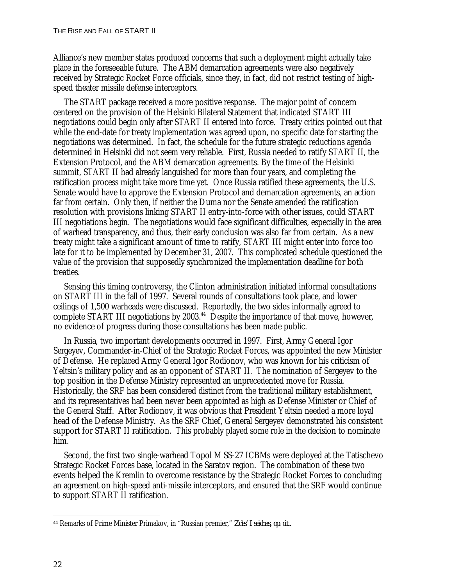Alliance's new member states produced concerns that such a deployment might actually take place in the foreseeable future. The ABM demarcation agreements were also negatively received by Strategic Rocket Force officials, since they, in fact, did not restrict testing of highspeed theater missile defense interceptors.

The START package received a more positive response. The major point of concern centered on the provision of the Helsinki Bilateral Statement that indicated START III negotiations could begin only after START II entered into force. Treaty critics pointed out that while the end-date for treaty implementation was agreed upon, no specific date for starting the negotiations was determined. In fact, the schedule for the future strategic reductions agenda determined in Helsinki did not seem very reliable. First, Russia needed to ratify START II, the Extension Protocol, and the ABM demarcation agreements. By the time of the Helsinki summit, START II had already languished for more than four years, and completing the ratification process might take more time yet. Once Russia ratified these agreements, the U.S. Senate would have to approve the Extension Protocol and demarcation agreements, an action far from certain. Only then, if neither the Duma nor the Senate amended the ratification resolution with provisions linking START II entry-into-force with other issues, could START III negotiations begin. The negotiations would face significant difficulties, especially in the area of warhead transparency, and thus, their early conclusion was also far from certain. As a new treaty might take a significant amount of time to ratify, START III might enter into force too late for it to be implemented by December 31, 2007. This complicated schedule questioned the value of the provision that supposedly synchronized the implementation deadline for both treaties.

Sensing this timing controversy, the Clinton administration initiated informal consultations on START III in the fall of 1997. Several rounds of consultations took place, and lower ceilings of 1,500 warheads were discussed. Reportedly, the two sides informally agreed to complete START III negotiations by 2003.<sup>44</sup> Despite the importance of that move, however, no evidence of progress during those consultations has been made public.

In Russia, two important developments occurred in 1997. First, Army General Igor Sergeyev, Commander-in-Chief of the Strategic Rocket Forces, was appointed the new Minister of Defense. He replaced Army General Igor Rodionov, who was known for his criticism of Yeltsin's military policy and as an opponent of START II. The nomination of Sergeyev to the top position in the Defense Ministry represented an unprecedented move for Russia. Historically, the SRF has been considered distinct from the traditional military establishment, and its representatives had been never been appointed as high as Defense Minister or Chief of the General Staff. After Rodionov, it was obvious that President Yeltsin needed a more loyal head of the Defense Ministry. As the SRF Chief, General Sergeyev demonstrated his consistent support for START II ratification. This probably played some role in the decision to nominate him.

Second, the first two single-warhead Topol M SS-27 ICBMs were deployed at the Tatischevo Strategic Rocket Forces base, located in the Saratov region. The combination of these two events helped the Kremlin to overcome resistance by the Strategic Rocket Forces to concluding an agreement on high-speed anti-missile interceptors, and ensured that the SRF would continue to support START II ratification.

 $\overline{a}$ 44 Remarks of Prime Minister Primakov, in "Russian premier," *Zdes' I seichas, op. cit..*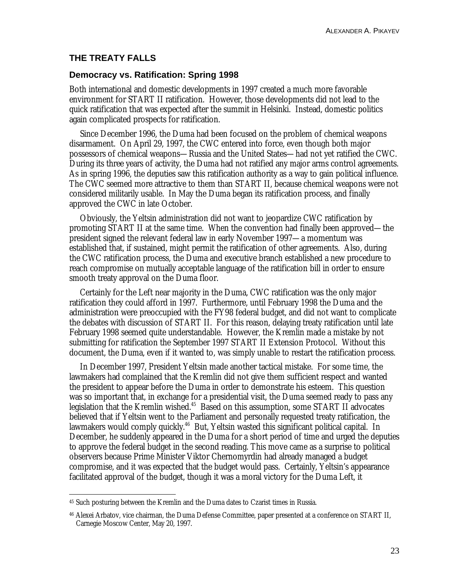## **THE TREATY FALLS**

## **Democracy vs. Ratification: Spring 1998**

Both international and domestic developments in 1997 created a much more favorable environment for START II ratification. However, those developments did not lead to the quick ratification that was expected after the summit in Helsinki. Instead, domestic politics again complicated prospects for ratification.

Since December 1996, the Duma had been focused on the problem of chemical weapons disarmament. On April 29, 1997, the CWC entered into force, even though both major possessors of chemical weapons—Russia and the United States—had not yet ratified the CWC. During its three years of activity, the Duma had not ratified any major arms control agreements. As in spring 1996, the deputies saw this ratification authority as a way to gain political influence. The CWC seemed more attractive to them than START II, because chemical weapons were not considered militarily usable. In May the Duma began its ratification process, and finally approved the CWC in late October.

Obviously, the Yeltsin administration did not want to jeopardize CWC ratification by promoting START II at the same time. When the convention had finally been approved—the president signed the relevant federal law in early November 1997—a momentum was established that, if sustained, might permit the ratification of other agreements. Also, during the CWC ratification process, the Duma and executive branch established a new procedure to reach compromise on mutually acceptable language of the ratification bill in order to ensure smooth treaty approval on the Duma floor.

Certainly for the Left near majority in the Duma, CWC ratification was the only major ratification they could afford in 1997. Furthermore, until February 1998 the Duma and the administration were preoccupied with the FY98 federal budget, and did not want to complicate the debates with discussion of START II. For this reason, delaying treaty ratification until late February 1998 seemed quite understandable. However, the Kremlin made a mistake by not submitting for ratification the September 1997 START II Extension Protocol. Without this document, the Duma, even if it wanted to, was simply unable to restart the ratification process.

In December 1997, President Yeltsin made another tactical mistake. For some time, the lawmakers had complained that the Kremlin did not give them sufficient respect and wanted the president to appear before the Duma in order to demonstrate his esteem. This question was so important that, in exchange for a presidential visit, the Duma seemed ready to pass any legislation that the Kremlin wished.<sup>45</sup> Based on this assumption, some START II advocates believed that if Yeltsin went to the Parliament and personally requested treaty ratification, the lawmakers would comply quickly.<sup>46</sup> But, Yeltsin wasted this significant political capital. In December, he suddenly appeared in the Duma for a short period of time and urged the deputies to approve the federal budget in the second reading. This move came as a surprise to political observers because Prime Minister Viktor Chernomyrdin had already managed a budget compromise, and it was expected that the budget would pass. Certainly, Yeltsin's appearance facilitated approval of the budget, though it was a moral victory for the Duma Left, it

 $\overline{a}$ 

<sup>45</sup> Such posturing between the Kremlin and the Duma dates to Czarist times in Russia.

<sup>46</sup> Alexei Arbatov, vice chairman, the Duma Defense Committee, paper presented at a conference on START II, Carnegie Moscow Center, May 20, 1997.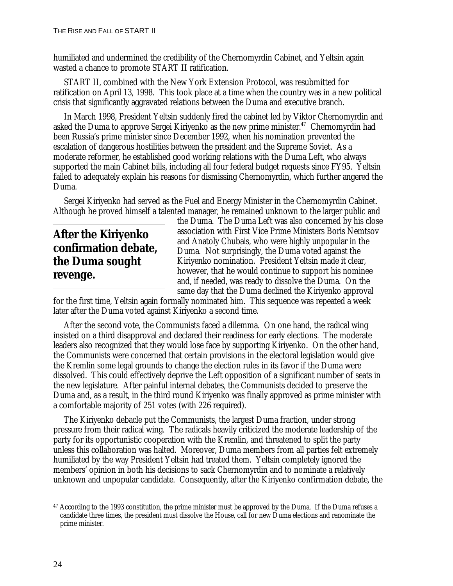humiliated and undermined the credibility of the Chernomyrdin Cabinet, and Yeltsin again wasted a chance to promote START II ratification.

START II, combined with the New York Extension Protocol, was resubmitted for ratification on April 13, 1998. This took place at a time when the country was in a new political crisis that significantly aggravated relations between the Duma and executive branch.

In March 1998, President Yeltsin suddenly fired the cabinet led by Viktor Chernomyrdin and asked the Duma to approve Sergei Kiriyenko as the new prime minister.<sup>47</sup> Chernomyrdin had been Russia's prime minister since December 1992, when his nomination prevented the escalation of dangerous hostilities between the president and the Supreme Soviet. As a moderate reformer, he established good working relations with the Duma Left, who always supported the main Cabinet bills, including all four federal budget requests since FY95. Yeltsin failed to adequately explain his reasons for dismissing Chernomyrdin, which further angered the Duma.

Sergei Kiriyenko had served as the Fuel and Energy Minister in the Chernomyrdin Cabinet. Although he proved himself a talented manager, he remained unknown to the larger public and

**After the Kiriyenko confirmation debate, the Duma sought revenge.**

the Duma. The Duma Left was also concerned by his close association with First Vice Prime Ministers Boris Nemtsov and Anatoly Chubais, who were highly unpopular in the Duma. Not surprisingly, the Duma voted against the Kiriyenko nomination. President Yeltsin made it clear, however, that he would continue to support his nominee and, if needed, was ready to dissolve the Duma. On the same day that the Duma declined the Kiriyenko approval

for the first time, Yeltsin again formally nominated him. This sequence was repeated a week later after the Duma voted against Kiriyenko a second time.

After the second vote, the Communists faced a dilemma. On one hand, the radical wing insisted on a third disapproval and declared their readiness for early elections. The moderate leaders also recognized that they would lose face by supporting Kiriyenko. On the other hand, the Communists were concerned that certain provisions in the electoral legislation would give the Kremlin some legal grounds to change the election rules in its favor if the Duma were dissolved. This could effectively deprive the Left opposition of a significant number of seats in the new legislature. After painful internal debates, the Communists decided to preserve the Duma and, as a result, in the third round Kiriyenko was finally approved as prime minister with a comfortable majority of 251 votes (with 226 required).

The Kiriyenko debacle put the Communists, the largest Duma fraction, under strong pressure from their radical wing. The radicals heavily criticized the moderate leadership of the party for its opportunistic cooperation with the Kremlin, and threatened to split the party unless this collaboration was halted. Moreover, Duma members from all parties felt extremely humiliated by the way President Yeltsin had treated them. Yeltsin completely ignored the members' opinion in both his decisions to sack Chernomyrdin and to nominate a relatively unknown and unpopular candidate. Consequently, after the Kiriyenko confirmation debate, the

 $\overline{a}$ <sup>47</sup> According to the 1993 constitution, the prime minister must be approved by the Duma. If the Duma refuses a candidate three times, the president must dissolve the House, call for new Duma elections and renominate the prime minister.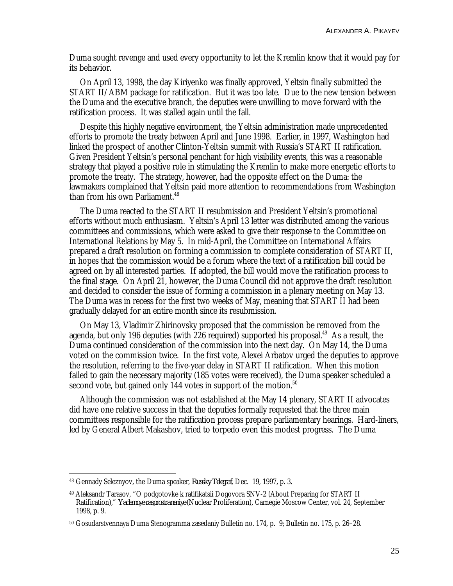Duma sought revenge and used every opportunity to let the Kremlin know that it would pay for its behavior.

On April 13, 1998, the day Kiriyenko was finally approved, Yeltsin finally submitted the START II/ABM package for ratification. But it was too late. Due to the new tension between the Duma and the executive branch, the deputies were unwilling to move forward with the ratification process. It was stalled again until the fall.

Despite this highly negative environment, the Yeltsin administration made unprecedented efforts to promote the treaty between April and June 1998. Earlier, in 1997, Washington had linked the prospect of another Clinton-Yeltsin summit with Russia's START II ratification. Given President Yeltsin's personal penchant for high visibility events, this was a reasonable strategy that played a positive role in stimulating the Kremlin to make more energetic efforts to promote the treaty. The strategy, however, had the opposite effect on the Duma: the lawmakers complained that Yeltsin paid more attention to recommendations from Washington than from his own Parliament.<sup>48</sup>

The Duma reacted to the START II resubmission and President Yeltsin's promotional efforts without much enthusiasm. Yeltsin's April 13 letter was distributed among the various committees and commissions, which were asked to give their response to the Committee on International Relations by May 5. In mid-April, the Committee on International Affairs prepared a draft resolution on forming a commission to complete consideration of START II, in hopes that the commission would be a forum where the text of a ratification bill could be agreed on by all interested parties. If adopted, the bill would move the ratification process to the final stage. On April 21, however, the Duma Council did not approve the draft resolution and decided to consider the issue of forming a commission in a plenary meeting on May 13. The Duma was in recess for the first two weeks of May, meaning that START II had been gradually delayed for an entire month since its resubmission.

On May 13, Vladimir Zhirinovsky proposed that the commission be removed from the agenda, but only 196 deputies (with  $226$  required) supported his proposal.<sup>49</sup> As a result, the Duma continued consideration of the commission into the next day. On May 14, the Duma voted on the commission twice. In the first vote, Alexei Arbatov urged the deputies to approve the resolution, referring to the five-year delay in START II ratification. When this motion failed to gain the necessary majority (185 votes were received), the Duma speaker scheduled a second vote, but gained only 144 votes in support of the motion.<sup>50</sup>

Although the commission was not established at the May 14 plenary, START II advocates did have one relative success in that the deputies formally requested that the three main committees responsible for the ratification process prepare parliamentary hearings. Hard-liners, led by General Albert Makashov, tried to torpedo even this modest progress. The Duma

 $\overline{a}$ 

<sup>48</sup> Gennady Seleznyov, the Duma speaker, *Russky Telegraf*, Dec. 19, 1997, p. 3.

<sup>49</sup> Aleksandr Tarasov, "O podgotovke k ratifikatsii Dogovora SNV-2 (About Preparing for START II Ratification)," *Yadernoye rasprostraneniye* (Nuclear Proliferation), Carnegie Moscow Center, vol. 24, September 1998, p. 9.

<sup>50</sup> Gosudarstvennaya Duma Stenogramma zasedaniy Bulletin no. 174, p. 9; Bulletin no. 175, p. 26–28.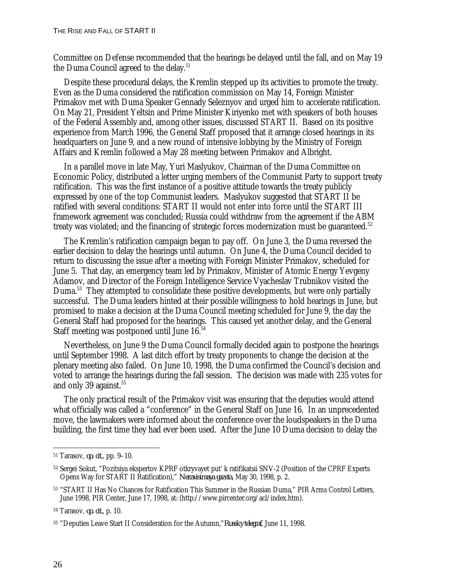Committee on Defense recommended that the hearings be delayed until the fall, and on May 19 the Duma Council agreed to the delay.<sup>51</sup>

Despite these procedural delays, the Kremlin stepped up its activities to promote the treaty. Even as the Duma considered the ratification commission on May 14, Foreign Minister Primakov met with Duma Speaker Gennady Seleznyov and urged him to accelerate ratification. On May 21, President Yeltsin and Prime Minister Kiriyenko met with speakers of both houses of the Federal Assembly and, among other issues, discussed START II. Based on its positive experience from March 1996, the General Staff proposed that it arrange closed hearings in its headquarters on June 9, and a new round of intensive lobbying by the Ministry of Foreign Affairs and Kremlin followed a May 28 meeting between Primakov and Albright.

In a parallel move in late May, Yuri Maslyukov, Chairman of the Duma Committee on Economic Policy, distributed a letter urging members of the Communist Party to support treaty ratification. This was the first instance of a positive attitude towards the treaty publicly expressed by one of the top Communist leaders. Maslyukov suggested that START II be ratified with several conditions: START II would not enter into force until the START III framework agreement was concluded; Russia could withdraw from the agreement if the ABM treaty was violated; and the financing of strategic forces modernization must be guaranteed.<sup>52</sup>

The Kremlin's ratification campaign began to pay off. On June 3, the Duma reversed the earlier decision to delay the hearings until autumn. On June 4, the Duma Council decided to return to discussing the issue after a meeting with Foreign Minister Primakov, scheduled for June 5. That day, an emergency team led by Primakov, Minister of Atomic Energy Yevgeny Adamov, and Director of the Foreign Intelligence Service Vyacheslav Trubnikov visited the Duma.<sup>53</sup> They attempted to consolidate these positive developments, but were only partially successful. The Duma leaders hinted at their possible willingness to hold hearings in June, but promised to make a decision at the Duma Council meeting scheduled for June 9, the day the General Staff had proposed for the hearings. This caused yet another delay, and the General Staff meeting was postponed until June 16.<sup>54</sup>

Nevertheless, on June 9 the Duma Council formally decided again to postpone the hearings until September 1998. A last ditch effort by treaty proponents to change the decision at the plenary meeting also failed. On June 10, 1998, the Duma confirmed the Council's decision and voted to arrange the hearings during the fall session. The decision was made with 235 votes for and only 39 against. $55$ 

The only practical result of the Primakov visit was ensuring that the deputies would attend what officially was called a "conference" in the General Staff on June 16. In an unprecedented move, the lawmakers were informed about the conference over the loudspeakers in the Duma building, the first time they had ever been used. After the June 10 Duma decision to delay the

<u>.</u>

<sup>51</sup> Tarasov, *op. cit.*, pp. 9–10.

<sup>52</sup> Sergei Sokut, "Pozitsiya ekspertov KPRF otkryvayet put' k ratifikatsii SNV-2 (Position of the CPRF Experts Opens Way for START II Ratification)," *Nezavisimaya gazeta*, May 30, 1998, p. 2.

<sup>53</sup> "START II Has No Chances for Ratification This Summer in the Russian Duma," PIR Arms Control Letters, June 1998, PIR Center, June 17, 1998, at: (http://www.pircenter.org/acl/index.htm).

<sup>54</sup> Tarasov, *op. cit.*, p. 10.

<sup>55</sup> "Deputies Leave Start II Consideration for the Autumn,"*Russky telegraf*, June 11, 1998.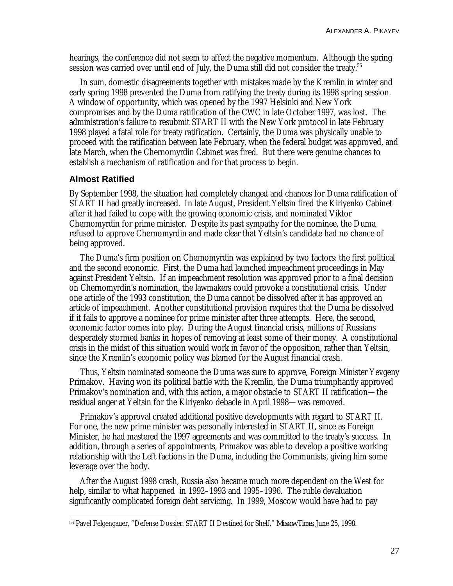hearings, the conference did not seem to affect the negative momentum. Although the spring session was carried over until end of July, the Duma still did not consider the treaty.<sup>56</sup>

In sum, domestic disagreements together with mistakes made by the Kremlin in winter and early spring 1998 prevented the Duma from ratifying the treaty during its 1998 spring session. A window of opportunity, which was opened by the 1997 Helsinki and New York compromises and by the Duma ratification of the CWC in late October 1997, was lost. The administration's failure to resubmit START II with the New York protocol in late February 1998 played a fatal role for treaty ratification. Certainly, the Duma was physically unable to proceed with the ratification between late February, when the federal budget was approved, and late March, when the Chernomyrdin Cabinet was fired. But there were genuine chances to establish a mechanism of ratification and for that process to begin.

## **Almost Ratified**

By September 1998, the situation had completely changed and chances for Duma ratification of START II had greatly increased. In late August, President Yeltsin fired the Kiriyenko Cabinet after it had failed to cope with the growing economic crisis, and nominated Viktor Chernomyrdin for prime minister. Despite its past sympathy for the nominee, the Duma refused to approve Chernomyrdin and made clear that Yeltsin's candidate had no chance of being approved.

The Duma's firm position on Chernomyrdin was explained by two factors: the first political and the second economic. First, the Duma had launched impeachment proceedings in May against President Yeltsin. If an impeachment resolution was approved prior to a final decision on Chernomyrdin's nomination, the lawmakers could provoke a constitutional crisis. Under one article of the 1993 constitution, the Duma cannot be dissolved after it has approved an article of impeachment. Another constitutional provision requires that the Duma be dissolved if it fails to approve a nominee for prime minister after three attempts. Here, the second, economic factor comes into play. During the August financial crisis, millions of Russians desperately stormed banks in hopes of removing at least some of their money. A constitutional crisis in the midst of this situation would work in favor of the opposition, rather than Yeltsin, since the Kremlin's economic policy was blamed for the August financial crash.

Thus, Yeltsin nominated someone the Duma was sure to approve, Foreign Minister Yevgeny Primakov. Having won its political battle with the Kremlin, the Duma triumphantly approved Primakov's nomination and, with this action, a major obstacle to START II ratification—the residual anger at Yeltsin for the Kiriyenko debacle in April 1998—was removed.

Primakov's approval created additional positive developments with regard to START II. For one, the new prime minister was personally interested in START II, since as Foreign Minister, he had mastered the 1997 agreements and was committed to the treaty's success. In addition, through a series of appointments, Primakov was able to develop a positive working relationship with the Left factions in the Duma, including the Communists, giving him some leverage over the body.

After the August 1998 crash, Russia also became much more dependent on the West for help, similar to what happened in 1992–1993 and 1995–1996. The ruble devaluation significantly complicated foreign debt servicing. In 1999, Moscow would have had to pay

 $\overline{a}$ 56 Pavel Felgengauer, "Defense Dossier: START II Destined for Shelf," *Moscow Times*, June 25, 1998.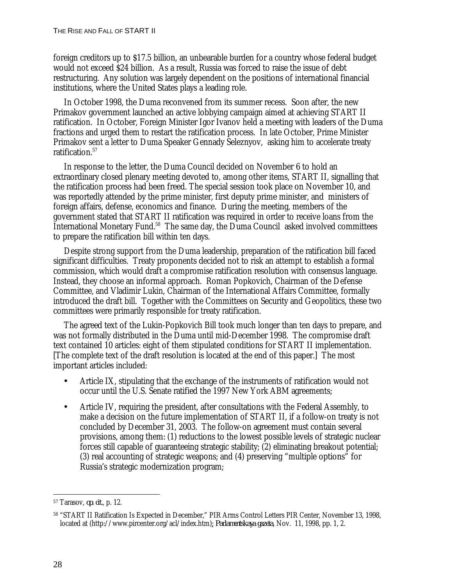foreign creditors up to \$17.5 billion, an unbearable burden for a country whose federal budget would not exceed \$24 billion. As a result, Russia was forced to raise the issue of debt restructuring. Any solution was largely dependent on the positions of international financial institutions, where the United States plays a leading role.

In October 1998, the Duma reconvened from its summer recess. Soon after, the new Primakov government launched an active lobbying campaign aimed at achieving START II ratification. In October, Foreign Minister Igor Ivanov held a meeting with leaders of the Duma fractions and urged them to restart the ratification process. In late October, Prime Minister Primakov sent a letter to Duma Speaker Gennady Seleznyov, asking him to accelerate treaty ratification.<sup>57</sup>

In response to the letter, the Duma Council decided on November 6 to hold an extraordinary closed plenary meeting devoted to, among other items, START II, signalling that the ratification process had been freed. The special session took place on November 10, and was reportedly attended by the prime minister, first deputy prime minister, and ministers of foreign affairs, defense, economics and finance. During the meeting, members of the government stated that START II ratification was required in order to receive loans from the International Monetary Fund.<sup>58</sup> The same day, the Duma Council asked involved committees to prepare the ratification bill within ten days.

Despite strong support from the Duma leadership, preparation of the ratification bill faced significant difficulties. Treaty proponents decided not to risk an attempt to establish a formal commission, which would draft a compromise ratification resolution with consensus language. Instead, they choose an informal approach. Roman Popkovich, Chairman of the Defense Committee, and Vladimir Lukin, Chairman of the International Affairs Committee, formally introduced the draft bill. Together with the Committees on Security and Geopolitics, these two committees were primarily responsible for treaty ratification.

The agreed text of the Lukin-Popkovich Bill took much longer than ten days to prepare, and was not formally distributed in the Duma until mid-December 1998. The compromise draft text contained 10 articles: eight of them stipulated conditions for START II implementation. [The complete text of the draft resolution is located at the end of this paper.] The most important articles included:

- Article IX, stipulating that the exchange of the instruments of ratification would not occur until the U.S. Senate ratified the 1997 New York ABM agreements;
- Article IV, requiring the president, after consultations with the Federal Assembly, to make a decision on the future implementation of START II, if a follow-on treaty is not concluded by December 31, 2003. The follow-on agreement must contain several provisions, among them: (1) reductions to the lowest possible levels of strategic nuclear forces still capable of guaranteeing strategic stability; (2) eliminating breakout potential; (3) real accounting of strategic weapons; and (4) preserving "multiple options" for Russia's strategic modernization program;

 $\overline{a}$ <sup>57</sup> Tarasov, *op. cit.*, p. 12.

<sup>58</sup> "START II Ratification Is Expected in December," PIR Arms Control Letters PIR Center, November 13, 1998, located at (http://www.pircenter.org/acl/index.htm); *Parlamentskaya gazeta*, Nov. 11, 1998, pp. 1, 2.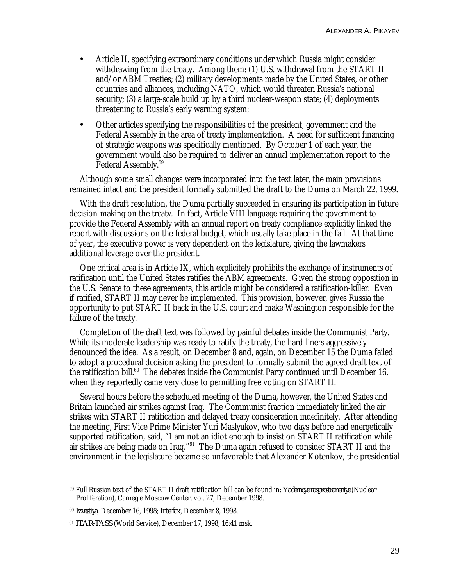- Article II, specifying extraordinary conditions under which Russia might consider withdrawing from the treaty. Among them: (1) U.S. withdrawal from the START II and/or ABM Treaties; (2) military developments made by the United States, or other countries and alliances, including NATO, which would threaten Russia's national security; (3) a large-scale build up by a third nuclear-weapon state; (4) deployments threatening to Russia's early warning system;
- Other articles specifying the responsibilities of the president, government and the Federal Assembly in the area of treaty implementation. A need for sufficient financing of strategic weapons was specifically mentioned. By October 1 of each year, the government would also be required to deliver an annual implementation report to the Federal Assembly.<sup>59</sup>

Although some small changes were incorporated into the text later, the main provisions remained intact and the president formally submitted the draft to the Duma on March 22, 1999.

With the draft resolution, the Duma partially succeeded in ensuring its participation in future decision-making on the treaty. In fact, Article VIII language requiring the government to provide the Federal Assembly with an annual report on treaty compliance explicitly linked the report with discussions on the federal budget, which usually take place in the fall. At that time of year, the executive power is very dependent on the legislature, giving the lawmakers additional leverage over the president.

One critical area is in Article IX, which explicitely prohibits the exchange of instruments of ratification until the United States ratifies the ABM agreements. Given the strong opposition in the U.S. Senate to these agreements, this article might be considered a ratification-killer. Even if ratified, START II may never be implemented. This provision, however, gives Russia the opportunity to put START II back in the U.S. court and make Washington responsible for the failure of the treaty.

Completion of the draft text was followed by painful debates inside the Communist Party. While its moderate leadership was ready to ratify the treaty, the hard-liners aggressively denounced the idea. As a result, on December 8 and, again, on December 15 the Duma failed to adopt a procedural decision asking the president to formally submit the agreed draft text of the ratification bill. $60$  The debates inside the Communist Party continued until December 16, when they reportedly came very close to permitting free voting on START II.

Several hours before the scheduled meeting of the Duma, however, the United States and Britain launched air strikes against Iraq. The Communist fraction immediately linked the air strikes with START II ratification and delayed treaty consideration indefinitely. After attending the meeting, First Vice Prime Minister Yuri Maslyukov, who two days before had energetically supported ratification, said, "I am not an idiot enough to insist on START II ratification while air strikes are being made on Iraq."<sup>61</sup> The Duma again refused to consider START II and the environment in the legislature became so unfavorable that Alexander Kotenkov, the presidential

 $\overline{a}$ 

<sup>59</sup> Full Russian text of the START II draft ratification bill can be found in: *Yadernoye rasprostraneniye* (Nuclear Proliferation), Carnegie Moscow Center, vol. 27, December 1998.

<sup>60</sup> *Izvestiya*, December 16, 1998; *Interfax*, December 8, 1998.

<sup>61</sup> *ITAR-TASS* (World Service), December 17, 1998, 16:41 msk.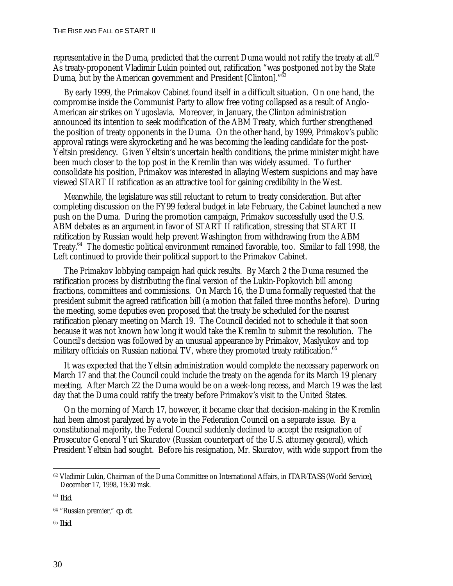representative in the Duma, predicted that the current Duma would not ratify the treaty at all.<sup>62</sup> As treaty-proponent Vladimir Lukin pointed out, ratification "was postponed not by the State Duma, but by the American government and President [Clinton]."<sup>63</sup>

By early 1999, the Primakov Cabinet found itself in a difficult situation. On one hand, the compromise inside the Communist Party to allow free voting collapsed as a result of Anglo-American air strikes on Yugoslavia. Moreover, in January, the Clinton administration announced its intention to seek modification of the ABM Treaty, which further strengthened the position of treaty opponents in the Duma. On the other hand, by 1999, Primakov's public approval ratings were skyrocketing and he was becoming the leading candidate for the post-Yeltsin presidency. Given Yeltsin's uncertain health conditions, the prime minister might have been much closer to the top post in the Kremlin than was widely assumed. To further consolidate his position, Primakov was interested in allaying Western suspicions and may have viewed START II ratification as an attractive tool for gaining credibility in the West.

Meanwhile, the legislature was still reluctant to return to treaty consideration. But after completing discussion on the FY99 federal budget in late February, the Cabinet launched a new push on the Duma. During the promotion campaign, Primakov successfully used the U.S. ABM debates as an argument in favor of START II ratification, stressing that START II ratification by Russian would help prevent Washington from withdrawing from the ABM Treaty.<sup>64</sup> The domestic political environment remained favorable, too. Similar to fall 1998, the Left continued to provide their political support to the Primakov Cabinet.

The Primakov lobbying campaign had quick results. By March 2 the Duma resumed the ratification process by distributing the final version of the Lukin-Popkovich bill among fractions, committees and commissions. On March 16, the Duma formally requested that the president submit the agreed ratification bill (a motion that failed three months before). During the meeting, some deputies even proposed that the treaty be scheduled for the nearest ratification plenary meeting on March 19. The Council decided not to schedule it that soon because it was not known how long it would take the Kremlin to submit the resolution. The Council's decision was followed by an unusual appearance by Primakov, Maslyukov and top military officials on Russian national TV, where they promoted treaty ratification.<sup>65</sup>

It was expected that the Yeltsin administration would complete the necessary paperwork on March 17 and that the Council could include the treaty on the agenda for its March 19 plenary meeting. After March 22 the Duma would be on a week-long recess, and March 19 was the last day that the Duma could ratify the treaty before Primakov's visit to the United States.

On the morning of March 17, however, it became clear that decision-making in the Kremlin had been almost paralyzed by a vote in the Federation Council on a separate issue. By a constitutional majority, the Federal Council suddenly declined to accept the resignation of Prosecutor General Yuri Skuratov (Russian counterpart of the U.S. attorney general), which President Yeltsin had sought. Before his resignation, Mr. Skuratov, with wide support from the

<sup>65</sup> *Ibid.*

<sup>-</sup><sup>62</sup> Vladimir Lukin, Chairman of the Duma Committee on International Affairs, in *ITAR-TASS* (World Service*)*, December 17, 1998, 19:30 msk.

<sup>63</sup> *Ibid.*

<sup>64</sup> "Russian premier," *op. cit.*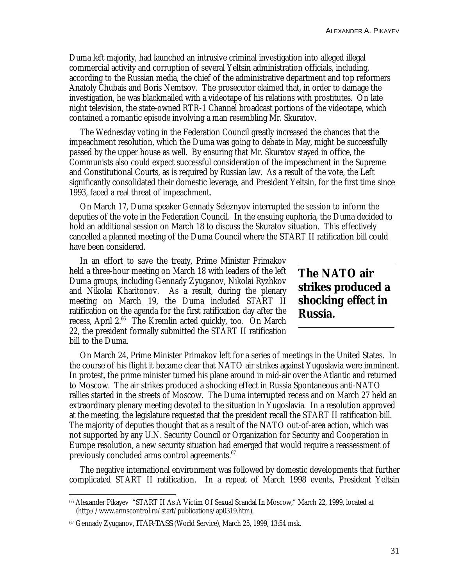Duma left majority, had launched an intrusive criminal investigation into alleged illegal commercial activity and corruption of several Yeltsin administration officials, including, according to the Russian media, the chief of the administrative department and top reformers Anatoly Chubais and Boris Nemtsov. The prosecutor claimed that, in order to damage the investigation, he was blackmailed with a videotape of his relations with prostitutes. On late night television, the state-owned RTR-1 Channel broadcast portions of the videotape, which contained a romantic episode involving a man resembling Mr. Skuratov.

The Wednesday voting in the Federation Council greatly increased the chances that the impeachment resolution, which the Duma was going to debate in May, might be successfully passed by the upper house as well. By ensuring that Mr. Skuratov stayed in office, the Communists also could expect successful consideration of the impeachment in the Supreme and Constitutional Courts, as is required by Russian law. As a result of the vote, the Left significantly consolidated their domestic leverage, and President Yeltsin, for the first time since 1993, faced a real threat of impeachment.

On March 17, Duma speaker Gennady Seleznyov interrupted the session to inform the deputies of the vote in the Federation Council. In the ensuing euphoria, the Duma decided to hold an additional session on March 18 to discuss the Skuratov situation. This effectively cancelled a planned meeting of the Duma Council where the START II ratification bill could have been considered.

In an effort to save the treaty, Prime Minister Primakov held a three-hour meeting on March 18 with leaders of the left Duma groups, including Gennady Zyuganov, Nikolai Ryzhkov and Nikolai Kharitonov. As a result, during the plenary meeting on March 19, the Duma included START II ratification on the agenda for the first ratification day after the recess, April 2.<sup>66</sup> The Kremlin acted quickly, too. On March 22, the president formally submitted the START II ratification bill to the Duma.

**The NATO air strikes produced a shocking effect in Russia.**

On March 24, Prime Minister Primakov left for a series of meetings in the United States. In the course of his flight it became clear that NATO air strikes against Yugoslavia were imminent. In protest, the prime minister turned his plane around in mid-air over the Atlantic and returned to Moscow. The air strikes produced a shocking effect in Russia Spontaneous anti-NATO rallies started in the streets of Moscow. The Duma interrupted recess and on March 27 held an extraordinary plenary meeting devoted to the situation in Yugoslavia. In a resolution approved at the meeting, the legislature requested that the president recall the START II ratification bill. The majority of deputies thought that as a result of the NATO out-of-area action, which was not supported by any U.N. Security Council or Organization for Security and Cooperation in Europe resolution, a new security situation had emerged that would require a reassessment of previously concluded arms control agreements.<sup>67</sup>

The negative international environment was followed by domestic developments that further complicated START II ratification. In a repeat of March 1998 events, President Yeltsin

 $\overline{a}$ 

<sup>66</sup> Alexander Pikayev "START II As A Victim Of Sexual Scandal In Moscow," March 22, 1999, located at (http://www.armscontrol.ru/start/publications/ap0319.htm).

<sup>67</sup> Gennady Zyuganov, *ITAR-TASS* (World Service), March 25, 1999, 13:54 msk.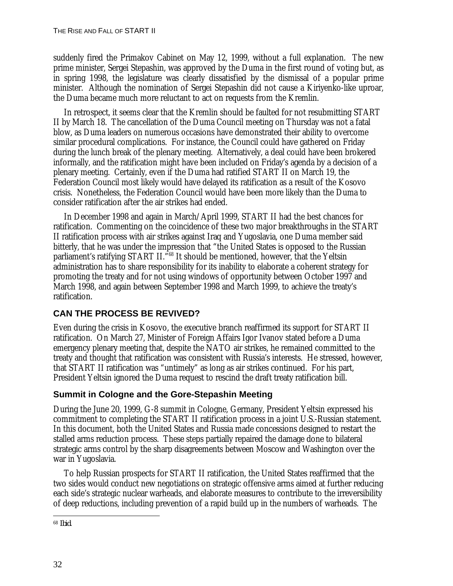suddenly fired the Primakov Cabinet on May 12, 1999, without a full explanation. The new prime minister, Sergei Stepashin, was approved by the Duma in the first round of voting but, as in spring 1998, the legislature was clearly dissatisfied by the dismissal of a popular prime minister. Although the nomination of Sergei Stepashin did not cause a Kiriyenko-like uproar, the Duma became much more reluctant to act on requests from the Kremlin.

In retrospect, it seems clear that the Kremlin should be faulted for not resubmitting START II by March 18. The cancellation of the Duma Council meeting on Thursday was not a fatal blow, as Duma leaders on numerous occasions have demonstrated their ability to overcome similar procedural complications. For instance, the Council could have gathered on Friday during the lunch break of the plenary meeting. Alternatively, a deal could have been brokered informally, and the ratification might have been included on Friday's agenda by a decision of a plenary meeting. Certainly, even if the Duma had ratified START II on March 19, the Federation Council most likely would have delayed its ratification as a result of the Kosovo crisis. Nonetheless, the Federation Council would have been more likely than the Duma to consider ratification after the air strikes had ended.

In December 1998 and again in March/April 1999, START II had the best chances for ratification. Commenting on the coincidence of these two major breakthroughs in the START II ratification process with air strikes against Iraq and Yugoslavia, one Duma member said bitterly, that he was under the impression that "the United States is opposed to the Russian parliament's ratifying START II.<sup>"68</sup> It should be mentioned, however, that the Yeltsin administration has to share responsibility for its inability to elaborate a coherent strategy for promoting the treaty and for not using windows of opportunity between October 1997 and March 1998, and again between September 1998 and March 1999, to achieve the treaty's ratification.

## **CAN THE PROCESS BE REVIVED?**

Even during the crisis in Kosovo, the executive branch reaffirmed its support for START II ratification. On March 27, Minister of Foreign Affairs Igor Ivanov stated before a Duma emergency plenary meeting that, despite the NATO air strikes, he remained committed to the treaty and thought that ratification was consistent with Russia's interests. He stressed, however, that START II ratification was "untimely" as long as air strikes continued. For his part, President Yeltsin ignored the Duma request to rescind the draft treaty ratification bill.

## **Summit in Cologne and the Gore-Stepashin Meeting**

During the June 20, 1999, G-8 summit in Cologne, Germany, President Yeltsin expressed his commitment to completing the START II ratification process in a joint U.S.-Russian statement. In this document, both the United States and Russia made concessions designed to restart the stalled arms reduction process. These steps partially repaired the damage done to bilateral strategic arms control by the sharp disagreements between Moscow and Washington over the war in Yugoslavia.

To help Russian prospects for START II ratification, the United States reaffirmed that the two sides would conduct new negotiations on strategic offensive arms aimed at further reducing each side's strategic nuclear warheads, and elaborate measures to contribute to the irreversibility of deep reductions, including prevention of a rapid build up in the numbers of warheads. The

 $\overline{a}$ <sup>68</sup> *Ibid.*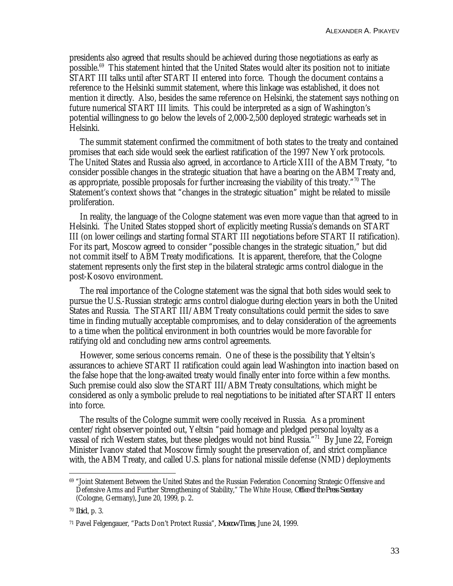presidents also agreed that results should be achieved during those negotiations as early as possible.<sup>69</sup> This statement hinted that the United States would alter its position not to initiate START III talks until after START II entered into force. Though the document contains a reference to the Helsinki summit statement, where this linkage was established, it does not mention it directly. Also, besides the same reference on Helsinki, the statement says nothing on future numerical START III limits. This could be interpreted as a sign of Washington's potential willingness to go below the levels of 2,000-2,500 deployed strategic warheads set in Helsinki.

The summit statement confirmed the commitment of both states to the treaty and contained promises that each side would seek the earliest ratification of the 1997 New York protocols. The United States and Russia also agreed, in accordance to Article XIII of the ABM Treaty, "to consider possible changes in the strategic situation that have a bearing on the ABM Treaty and, as appropriate, possible proposals for further increasing the viability of this treaty."<sup>70</sup> The Statement's context shows that "changes in the strategic situation" might be related to missile proliferation.

In reality, the language of the Cologne statement was even more vague than that agreed to in Helsinki. The United States stopped short of explicitly meeting Russia's demands on START III (on lower ceilings and starting formal START III negotiations before START II ratification). For its part, Moscow agreed to consider "possible changes in the strategic situation," but did not commit itself to ABM Treaty modifications. It is apparent, therefore, that the Cologne statement represents only the first step in the bilateral strategic arms control dialogue in the post-Kosovo environment.

The real importance of the Cologne statement was the signal that both sides would seek to pursue the U.S.-Russian strategic arms control dialogue during election years in both the United States and Russia. The START III/ABM Treaty consultations could permit the sides to save time in finding mutually acceptable compromises, and to delay consideration of the agreements to a time when the political environment in both countries would be more favorable for ratifying old and concluding new arms control agreements.

However, some serious concerns remain. One of these is the possibility that Yeltsin's assurances to achieve START II ratification could again lead Washington into inaction based on the false hope that the long-awaited treaty would finally enter into force within a few months. Such premise could also slow the START III/ABM Treaty consultations, which might be considered as only a symbolic prelude to real negotiations to be initiated after START II enters into force.

The results of the Cologne summit were coolly received in Russia. As a prominent center/right observer pointed out, Yeltsin "paid homage and pledged personal loyalty as a vassal of rich Western states, but these pledges would not bind Russia.<sup>"71</sup> By June 22, Foreign Minister Ivanov stated that Moscow firmly sought the preservation of, and strict compliance with, the ABM Treaty, and called U.S. plans for national missile defense (NMD) deployments

 $\overline{a}$ 

<sup>69</sup> "Joint Statement Between the United States and the Russian Federation Concerning Strategic Offensive and Defensive Arms and Further Strengthening of Stability," The White House, *Office of the Press Secretary* (Cologne, Germany)*,* June 20, 1999, p. 2*.*

<sup>70</sup> *Ibid.*, p. 3.

<sup>71</sup> Pavel Felgengauer, "Pacts Don't Protect Russia", *Moscow Times*, June 24, 1999.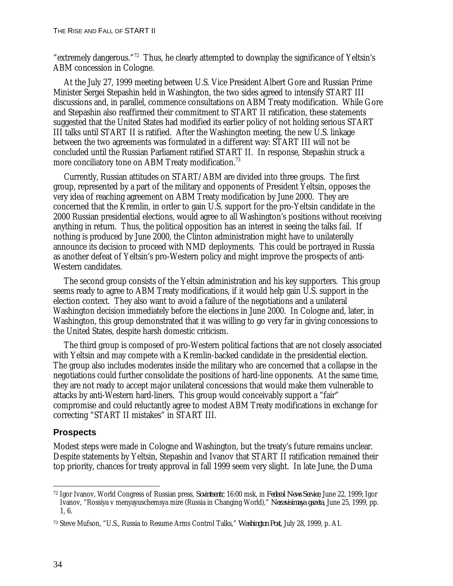"extremely dangerous."<sup>72</sup> Thus, he clearly attempted to downplay the significance of Yeltsin's ABM concession in Cologne.

At the July 27, 1999 meeting between U.S. Vice President Albert Gore and Russian Prime Minister Sergei Stepashin held in Washington, the two sides agreed to intensify START III discussions and, in parallel, commence consultations on ABM Treaty modification. While Gore and Stepashin also reaffirmed their commitment to START II ratification, these statements suggested that the United States had modified its earlier policy of not holding serious START III talks until START II is ratified. After the Washington meeting, the new U.S. linkage between the two agreements was formulated in a different way: START III will not be concluded until the Russian Parliament ratified START II. In response, Stepashin struck a more conciliatory tone on ABM Treaty modification.<sup>73</sup>

Currently, Russian attitudes on START/ABM are divided into three groups. The first group, represented by a part of the military and opponents of President Yeltsin, opposes the very idea of reaching agreement on ABM Treaty modification by June 2000. They are concerned that the Kremlin, in order to gain U.S. support for the pro-Yeltsin candidate in the 2000 Russian presidential elections, would agree to all Washington's positions without receiving anything in return. Thus, the political opposition has an interest in seeing the talks fail. If nothing is produced by June 2000, the Clinton administration might have to unilaterally announce its decision to proceed with NMD deployments. This could be portrayed in Russia as another defeat of Yeltsin's pro-Western policy and might improve the prospects of anti-Western candidates.

The second group consists of the Yeltsin administration and his key supporters. This group seems ready to agree to ABM Treaty modifications, if it would help gain U.S. support in the election context. They also want to avoid a failure of the negotiations and a unilateral Washington decision immediately before the elections in June 2000. In Cologne and, later, in Washington, this group demonstrated that it was willing to go very far in giving concessions to the United States, despite harsh domestic criticism.

The third group is composed of pro-Western political factions that are not closely associated with Yeltsin and may compete with a Kremlin-backed candidate in the presidential election. The group also includes moderates inside the military who are concerned that a collapse in the negotiations could further consolidate the positions of hard-line opponents. At the same time, they are not ready to accept major unilateral concessions that would make them vulnerable to attacks by anti-Western hard-liners. This group would conceivably support a "fair" compromise and could reluctantly agree to modest ABM Treaty modifications in exchange for correcting "START II mistakes" in START III.

## **Prospects**

Modest steps were made in Cologne and Washington, but the treaty's future remains unclear. Despite statements by Yeltsin, Stepashin and Ivanov that START II ratification remained their top priority, chances for treaty approval in fall 1999 seem very slight. In late June, the Duma

<sup>-</sup><sup>72</sup> Igor Ivanov, World Congress of Russian press, *Sovintsentr*, 16:00 msk, in *Federal News Service*, June 22, 1999; Igor Ivanov, "Rossiya v menyayuschemsya mire (Russia in Changing World)," *Nezavisimaya gazeta*, June 25, 1999, pp. 1, 6.

<sup>73</sup> Steve Mufson, "U.S., Russia to Resume Arms Control Talks," *Washington Post*, July 28, 1999, p. A1.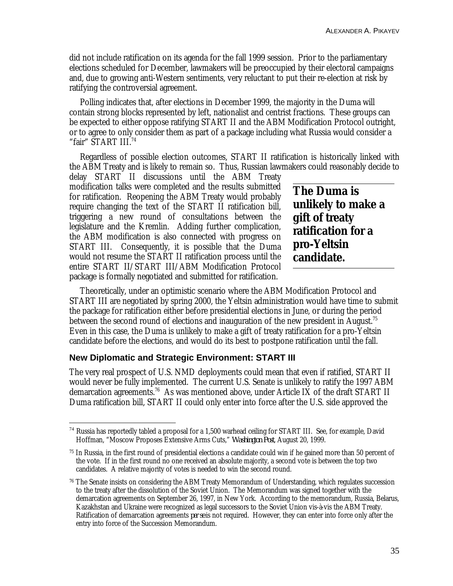did not include ratification on its agenda for the fall 1999 session. Prior to the parliamentary elections scheduled for December, lawmakers will be preoccupied by their electoral campaigns and, due to growing anti-Western sentiments, very reluctant to put their re-election at risk by ratifying the controversial agreement.

Polling indicates that, after elections in December 1999, the majority in the Duma will contain strong blocks represented by left, nationalist and centrist fractions. These groups can be expected to either oppose ratifying START II and the ABM Modification Protocol outright, or to agree to only consider them as part of a package including what Russia would consider a "fair" START III.<sup>74</sup>

Regardless of possible election outcomes, START II ratification is historically linked with the ABM Treaty and is likely to remain so. Thus, Russian lawmakers could reasonably decide to

delay START II discussions until the ABM Treaty modification talks were completed and the results submitted for ratification. Reopening the ABM Treaty would probably require changing the text of the START II ratification bill, triggering a new round of consultations between the legislature and the Kremlin. Adding further complication, the ABM modification is also connected with progress on START III. Consequently, it is possible that the Duma would not resume the START II ratification process until the entire START II/START III/ABM Modification Protocol package is formally negotiated and submitted for ratification.

**The Duma is unlikely to make a gift of treaty ratification for a pro-Yeltsin candidate.**

Theoretically, under an optimistic scenario where the ABM Modification Protocol and START III are negotiated by spring 2000, the Yeltsin administration would have time to submit the package for ratification either before presidential elections in June, or during the period between the second round of elections and inauguration of the new president in August.<sup>75</sup> Even in this case, the Duma is unlikely to make a gift of treaty ratification for a pro-Yeltsin candidate before the elections, and would do its best to postpone ratification until the fall.

## **New Diplomatic and Strategic Environment: START III**

The very real prospect of U.S. NMD deployments could mean that even if ratified, START II would never be fully implemented. The current U.S. Senate is unlikely to ratify the 1997 ABM demarcation agreements.<sup>76</sup> As was mentioned above, under Article IX of the draft START II Duma ratification bill, START II could only enter into force after the U.S. side approved the

 $\overline{a}$  $^{74}$  Russia has reportedly tabled a proposal for a 1,500 warhead ceiling for START III. See, for example, David Hoffman, "Moscow Proposes Extensive Arms Cuts," *Washington Post*, August 20, 1999.

<sup>75</sup> In Russia, in the first round of presidential elections a candidate could win if he gained more than 50 percent of the vote. If in the first round no one received an absolute majority, a second vote is between the top two candidates. A relative majority of votes is needed to win the second round.

 $76$  The Senate insists on considering the ABM Treaty Memorandum of Understanding, which regulates succession to the treaty after the dissolution of the Soviet Union. The Memorandum was signed together with the demarcation agreements on September 26, 1997, in New York. According to the memorandum, Russia, Belarus, Kazakhstan and Ukraine were recognized as legal successors to the Soviet Union vis-à-vis the ABM Treaty. Ratification of demarcation agreements *per se* is not required. However, they can enter into force only after the entry into force of the Succession Memorandum.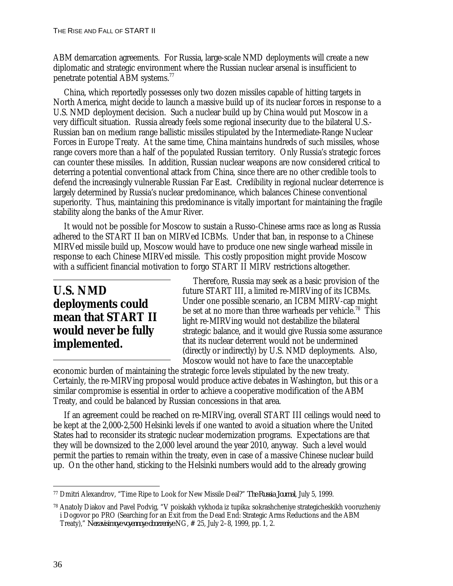ABM demarcation agreements. For Russia, large-scale NMD deployments will create a new diplomatic and strategic environment where the Russian nuclear arsenal is insufficient to penetrate potential ABM systems.<sup>77</sup>

China, which reportedly possesses only two dozen missiles capable of hitting targets in North America, might decide to launch a massive build up of its nuclear forces in response to a U.S. NMD deployment decision. Such a nuclear build up by China would put Moscow in a very difficult situation. Russia already feels some regional insecurity due to the bilateral U.S.- Russian ban on medium range ballistic missiles stipulated by the Intermediate-Range Nuclear Forces in Europe Treaty. At the same time, China maintains hundreds of such missiles, whose range covers more than a half of the populated Russian territory. Only Russia's strategic forces can counter these missiles. In addition, Russian nuclear weapons are now considered critical to deterring a potential conventional attack from China, since there are no other credible tools to defend the increasingly vulnerable Russian Far East. Credibility in regional nuclear deterrence is largely determined by Russia's nuclear predominance, which balances Chinese conventional superiority. Thus, maintaining this predominance is vitally important for maintaining the fragile stability along the banks of the Amur River.

It would not be possible for Moscow to sustain a Russo-Chinese arms race as long as Russia adhered to the START II ban on MIRVed ICBMs. Under that ban, in response to a Chinese MIRVed missile build up, Moscow would have to produce one new single warhead missile in response to each Chinese MIRVed missile. This costly proposition might provide Moscow with a sufficient financial motivation to forgo START II MIRV restrictions altogether.

# **U.S. NMD deployments could mean that START II would never be fully implemented.**

Therefore, Russia may seek as a basic provision of the future START III, a limited re-MIRVing of its ICBMs. Under one possible scenario, an ICBM MIRV-cap might be set at no more than three warheads per vehicle.<sup>78</sup> This light re-MIRVing would not destabilize the bilateral strategic balance, and it would give Russia some assurance that its nuclear deterrent would not be undermined (directly or indirectly) by U.S. NMD deployments. Also, Moscow would not have to face the unacceptable

economic burden of maintaining the strategic force levels stipulated by the new treaty. Certainly, the re-MIRVing proposal would produce active debates in Washington, but this or a similar compromise is essential in order to achieve a cooperative modification of the ABM Treaty, and could be balanced by Russian concessions in that area.

If an agreement could be reached on re-MIRVing, overall START III ceilings would need to be kept at the 2,000-2,500 Helsinki levels if one wanted to avoid a situation where the United States had to reconsider its strategic nuclear modernization programs. Expectations are that they will be downsized to the 2,000 level around the year 2010, anyway. Such a level would permit the parties to remain within the treaty, even in case of a massive Chinese nuclear build up. On the other hand, sticking to the Helsinki numbers would add to the already growing

 $\overline{a}$ <sup>77</sup> Dmitri Alexandrov, "Time Ripe to Look for New Missile Deal?" *The Russia Journal*, July 5, 1999.

<sup>78</sup> Anatoly Diakov and Pavel Podvig, "V poiskakh vykhoda iz tupika: sokrashcheniye strategicheskikh vooruzheniy i Dogovor po PRO (Searching for an Exit from the Dead End: Strategic Arms Reductions and the ABM Treaty)," *Nezavisimoye voyennoye obozreniye* NG, # 25, July 2–8, 1999, pp. 1, 2.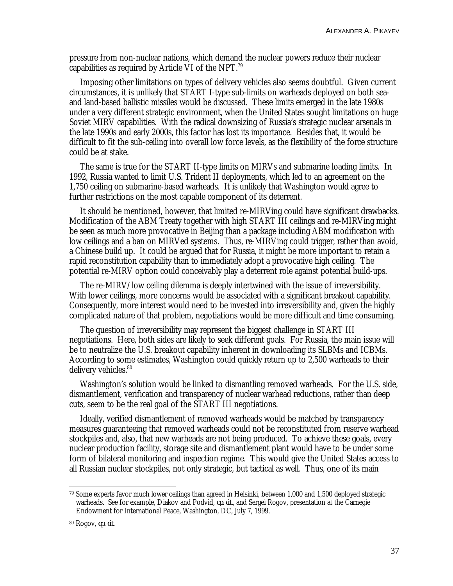pressure from non-nuclear nations, which demand the nuclear powers reduce their nuclear capabilities as required by Article VI of the NPT.<sup>79</sup>

Imposing other limitations on types of delivery vehicles also seems doubtful. Given current circumstances, it is unlikely that START I-type sub-limits on warheads deployed on both seaand land-based ballistic missiles would be discussed. These limits emerged in the late 1980s under a very different strategic environment, when the United States sought limitations on huge Soviet MIRV capabilities. With the radical downsizing of Russia's strategic nuclear arsenals in the late 1990s and early 2000s, this factor has lost its importance. Besides that, it would be difficult to fit the sub-ceiling into overall low force levels, as the flexibility of the force structure could be at stake.

The same is true for the START II-type limits on MIRVs and submarine loading limits. In 1992, Russia wanted to limit U.S. Trident II deployments, which led to an agreement on the 1,750 ceiling on submarine-based warheads. It is unlikely that Washington would agree to further restrictions on the most capable component of its deterrent.

It should be mentioned, however, that limited re-MIRVing could have significant drawbacks. Modification of the ABM Treaty together with high START III ceilings and re-MIRVing might be seen as much more provocative in Beijing than a package including ABM modification with low ceilings and a ban on MIRVed systems. Thus, re-MIRVing could trigger, rather than avoid, a Chinese build up. It could be argued that for Russia, it might be more important to retain a rapid reconstitution capability than to immediately adopt a provocative high ceiling. The potential re-MIRV option could conceivably play a deterrent role against potential build-ups.

The re-MIRV/low ceiling dilemma is deeply intertwined with the issue of irreversibility. With lower ceilings, more concerns would be associated with a significant breakout capability. Consequently, more interest would need to be invested into irreversibility and, given the highly complicated nature of that problem, negotiations would be more difficult and time consuming.

The question of irreversibility may represent the biggest challenge in START III negotiations. Here, both sides are likely to seek different goals. For Russia, the main issue will be to neutralize the U.S. breakout capability inherent in downloading its SLBMs and ICBMs. According to some estimates, Washington could quickly return up to 2,500 warheads to their delivery vehicles.<sup>80</sup>

Washington's solution would be linked to dismantling removed warheads. For the U.S. side, dismantlement, verification and transparency of nuclear warhead reductions, rather than deep cuts, seem to be the real goal of the START III negotiations.

Ideally, verified dismantlement of removed warheads would be matched by transparency measures guaranteeing that removed warheads could not be reconstituted from reserve warhead stockpiles and, also, that new warheads are not being produced. To achieve these goals, every nuclear production facility, storage site and dismantlement plant would have to be under some form of bilateral monitoring and inspection regime. This would give the United States access to all Russian nuclear stockpiles, not only strategic, but tactical as well. Thus, one of its main

 $\overline{a}$ 

<sup>79</sup> Some experts favor much lower ceilings than agreed in Helsinki, between 1,000 and 1,500 deployed strategic warheads. See for example, Diakov and Podvid, *op. cit.*, and Sergei Rogov, presentation at the Carnegie Endowment for International Peace, Washington, DC, July 7, 1999.

<sup>80</sup> Rogov, *op. cit.*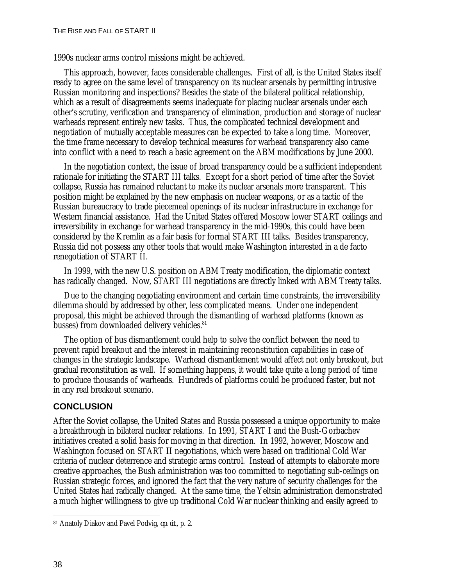1990s nuclear arms control missions might be achieved.

This approach, however, faces considerable challenges. First of all, is the United States itself ready to agree on the same level of transparency on its nuclear arsenals by permitting intrusive Russian monitoring and inspections? Besides the state of the bilateral political relationship, which as a result of disagreements seems inadequate for placing nuclear arsenals under each other's scrutiny, verification and transparency of elimination, production and storage of nuclear warheads represent entirely new tasks. Thus, the complicated technical development and negotiation of mutually acceptable measures can be expected to take a long time. Moreover, the time frame necessary to develop technical measures for warhead transparency also came into conflict with a need to reach a basic agreement on the ABM modifications by June 2000.

In the negotiation context, the issue of broad transparency could be a sufficient independent rationale for initiating the START III talks. Except for a short period of time after the Soviet collapse, Russia has remained reluctant to make its nuclear arsenals more transparent. This position might be explained by the new emphasis on nuclear weapons, or as a tactic of the Russian bureaucracy to trade piecemeal openings of its nuclear infrastructure in exchange for Western financial assistance. Had the United States offered Moscow lower START ceilings and irreversibility in exchange for warhead transparency in the mid-1990s, this could have been considered by the Kremlin as a fair basis for formal START III talks. Besides transparency, Russia did not possess any other tools that would make Washington interested in a de facto renegotiation of START II.

In 1999, with the new U.S. position on ABM Treaty modification, the diplomatic context has radically changed. Now, START III negotiations are directly linked with ABM Treaty talks.

Due to the changing negotiating environment and certain time constraints, the irreversibility dilemma should by addressed by other, less complicated means. Under one independent proposal, this might be achieved through the dismantling of warhead platforms (known as busses) from downloaded delivery vehicles.<sup>81</sup>

The option of bus dismantlement could help to solve the conflict between the need to prevent rapid breakout and the interest in maintaining reconstitution capabilities in case of changes in the strategic landscape. Warhead dismantlement would affect not only breakout, but gradual reconstitution as well. If something happens, it would take quite a long period of time to produce thousands of warheads. Hundreds of platforms could be produced faster, but not in any real breakout scenario.

## **CONCLUSION**

After the Soviet collapse, the United States and Russia possessed a unique opportunity to make a breakthrough in bilateral nuclear relations. In 1991, START I and the Bush-Gorbachev initiatives created a solid basis for moving in that direction. In 1992, however, Moscow and Washington focused on START II negotiations, which were based on traditional Cold War criteria of nuclear deterrence and strategic arms control. Instead of attempts to elaborate more creative approaches, the Bush administration was too committed to negotiating sub-ceilings on Russian strategic forces, and ignored the fact that the very nature of security challenges for the United States had radically changed. At the same time, the Yeltsin administration demonstrated a much higher willingness to give up traditional Cold War nuclear thinking and easily agreed to

 $\overline{a}$ 81 Anatoly Diakov and Pavel Podvig, *op. cit*., p. 2.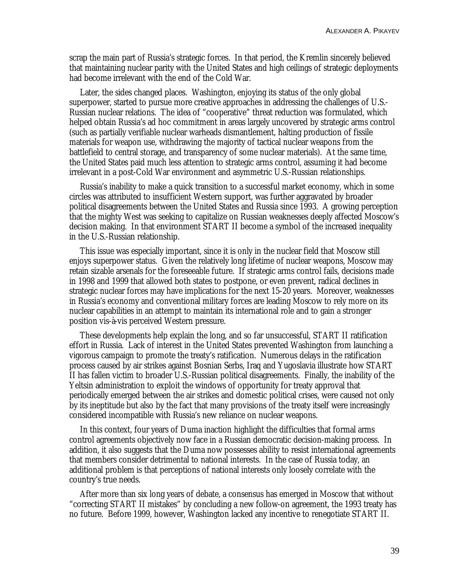scrap the main part of Russia's strategic forces. In that period, the Kremlin sincerely believed that maintaining nuclear parity with the United States and high ceilings of strategic deployments had become irrelevant with the end of the Cold War.

Later, the sides changed places. Washington, enjoying its status of the only global superpower, started to pursue more creative approaches in addressing the challenges of U.S.- Russian nuclear relations. The idea of "cooperative" threat reduction was formulated, which helped obtain Russia's ad hoc commitment in areas largely uncovered by strategic arms control (such as partially verifiable nuclear warheads dismantlement, halting production of fissile materials for weapon use, withdrawing the majority of tactical nuclear weapons from the battlefield to central storage, and transparency of some nuclear materials). At the same time, the United States paid much less attention to strategic arms control, assuming it had become irrelevant in a post-Cold War environment and asymmetric U.S.-Russian relationships.

Russia's inability to make a quick transition to a successful market economy, which in some circles was attributed to insufficient Western support, was further aggravated by broader political disagreements between the United States and Russia since 1993. A growing perception that the mighty West was seeking to capitalize on Russian weaknesses deeply affected Moscow's decision making. In that environment START II become a symbol of the increased inequality in the U.S.-Russian relationship.

This issue was especially important, since it is only in the nuclear field that Moscow still enjoys superpower status. Given the relatively long lifetime of nuclear weapons, Moscow may retain sizable arsenals for the foreseeable future. If strategic arms control fails, decisions made in 1998 and 1999 that allowed both states to postpone, or even prevent, radical declines in strategic nuclear forces may have implications for the next 15-20 years. Moreover, weaknesses in Russia's economy and conventional military forces are leading Moscow to rely more on its nuclear capabilities in an attempt to maintain its international role and to gain a stronger position vis-à-vis perceived Western pressure.

These developments help explain the long, and so far unsuccessful, START II ratification effort in Russia. Lack of interest in the United States prevented Washington from launching a vigorous campaign to promote the treaty's ratification. Numerous delays in the ratification process caused by air strikes against Bosnian Serbs, Iraq and Yugoslavia illustrate how START II has fallen victim to broader U.S.-Russian political disagreements. Finally, the inability of the Yeltsin administration to exploit the windows of opportunity for treaty approval that periodically emerged between the air strikes and domestic political crises, were caused not only by its ineptitude but also by the fact that many provisions of the treaty itself were increasingly considered incompatible with Russia's new reliance on nuclear weapons.

In this context, four years of Duma inaction highlight the difficulties that formal arms control agreements objectively now face in a Russian democratic decision-making process. In addition, it also suggests that the Duma now possesses ability to resist international agreements that members consider detrimental to national interests. In the case of Russia today, an additional problem is that perceptions of national interests only loosely correlate with the country's true needs.

After more than six long years of debate, a consensus has emerged in Moscow that without "correcting START II mistakes" by concluding a new follow-on agreement, the 1993 treaty has no future. Before 1999, however, Washington lacked any incentive to renegotiate START II.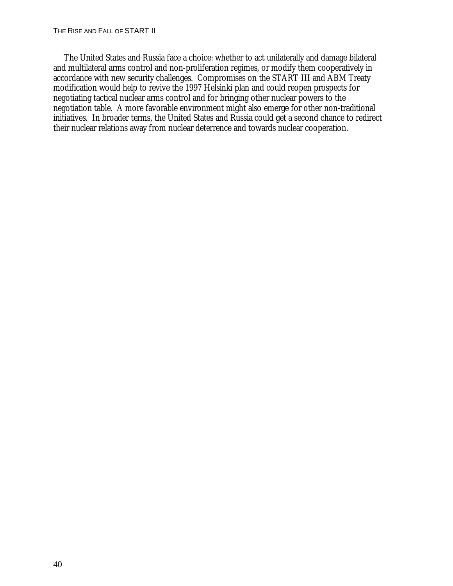The United States and Russia face a choice: whether to act unilaterally and damage bilateral and multilateral arms control and non-proliferation regimes, or modify them cooperatively in accordance with new security challenges. Compromises on the START III and ABM Treaty modification would help to revive the 1997 Helsinki plan and could reopen prospects for negotiating tactical nuclear arms control and for bringing other nuclear powers to the negotiation table. A more favorable environment might also emerge for other non-traditional initiatives. In broader terms, the United States and Russia could get a second chance to redirect their nuclear relations away from nuclear deterrence and towards nuclear cooperation.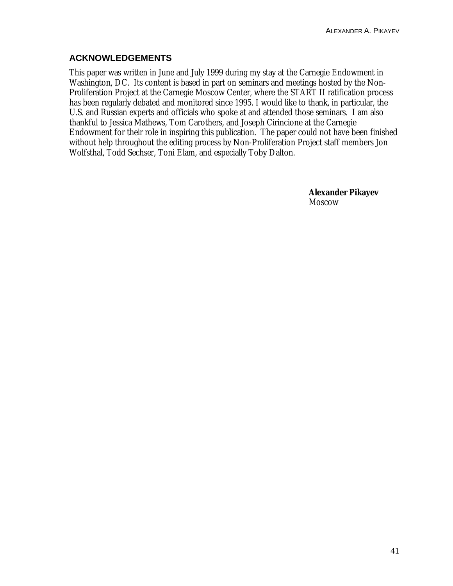## **ACKNOWLEDGEMENTS**

This paper was written in June and July 1999 during my stay at the Carnegie Endowment in Washington, DC. Its content is based in part on seminars and meetings hosted by the Non-Proliferation Project at the Carnegie Moscow Center, where the START II ratification process has been regularly debated and monitored since 1995. I would like to thank, in particular, the U.S. and Russian experts and officials who spoke at and attended those seminars. I am also thankful to Jessica Mathews, Tom Carothers, and Joseph Cirincione at the Carnegie Endowment for their role in inspiring this publication. The paper could not have been finished without help throughout the editing process by Non-Proliferation Project staff members Jon Wolfsthal, Todd Sechser, Toni Elam, and especially Toby Dalton.

> **Alexander Pikayev** Moscow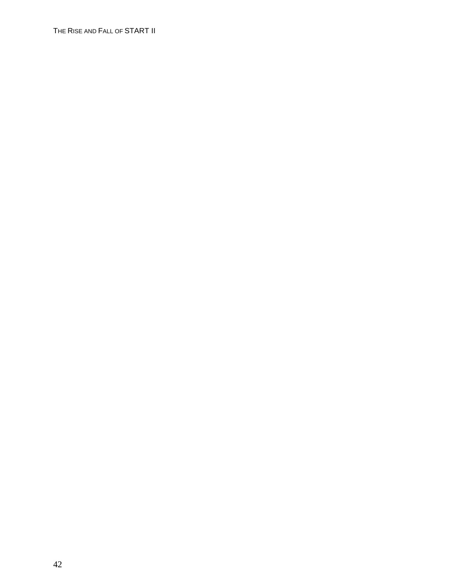THE RISE AND FALL OF START II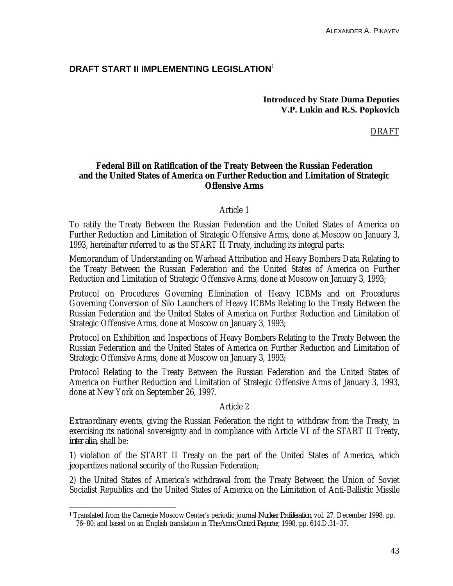## **DRAFT START II IMPLEMENTING LEGISLATION**<sup>1</sup>

**Introduced by State Duma Deputies V.P. Lukin and R.S. Popkovich**

DRAFT

## **Federal Bill on Ratification of the Treaty Between the Russian Federation and the United States of America on Further Reduction and Limitation of Strategic Offensive Arms**

#### Article 1

To ratify the Treaty Between the Russian Federation and the United States of America on Further Reduction and Limitation of Strategic Offensive Arms, done at Moscow on January 3, 1993, hereinafter referred to as the START II Treaty, including its integral parts:

Memorandum of Understanding on Warhead Attribution and Heavy Bombers Data Relating to the Treaty Between the Russian Federation and the United States of America on Further Reduction and Limitation of Strategic Offensive Arms, done at Moscow on January 3, 1993;

Protocol on Procedures Governing Elimination of Heavy ICBMs and on Procedures Governing Conversion of Silo Launchers of Heavy ICBMs Relating to the Treaty Between the Russian Federation and the United States of America on Further Reduction and Limitation of Strategic Offensive Arms, done at Moscow on January 3, 1993;

Protocol on Exhibition and Inspections of Heavy Bombers Relating to the Treaty Between the Russian Federation and the United States of America on Further Reduction and Limitation of Strategic Offensive Arms, done at Moscow on January 3, 1993;

Protocol Relating to the Treaty Between the Russian Federation and the United States of America on Further Reduction and Limitation of Strategic Offensive Arms of January 3, 1993, done at New York on September 26, 1997.

#### Article 2

Extraordinary events, giving the Russian Federation the right to withdraw from the Treaty, in exercising its national sovereignty and in compliance with Article VI of the START II Treaty, *inter alia,* shall be:

1) violation of the START II Treaty on the part of the United States of America, which jeopardizes national security of the Russian Federation;

2) the United States of America's withdrawal from the Treaty Between the Union of Soviet Socialist Republics and the United States of America on the Limitation of Anti-Ballistic Missile

 $\overline{a}$ 1 Translated from the Carnegie Moscow Center's periodic journal *Nuclear Proliferation*, vol. 27, December 1998, pp. 76–80; and based on an English translation in *The Arms Control Reporter*, 1998, pp. 614.D.31–37.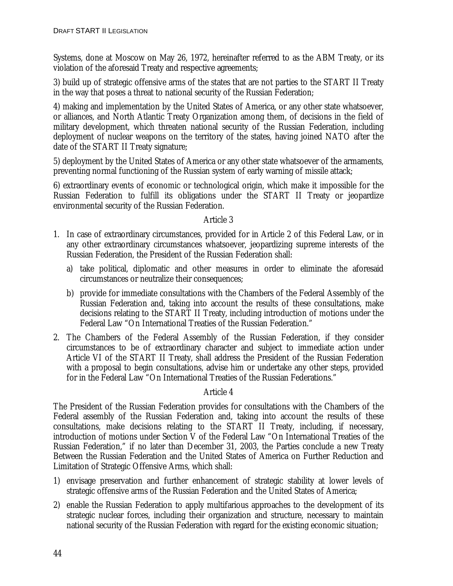Systems, done at Moscow on May 26, 1972, hereinafter referred to as the ABM Treaty, or its violation of the aforesaid Treaty and respective agreements;

3) build up of strategic offensive arms of the states that are not parties to the START II Treaty in the way that poses a threat to national security of the Russian Federation;

4) making and implementation by the United States of America, or any other state whatsoever, or alliances, and North Atlantic Treaty Organization among them, of decisions in the field of military development, which threaten national security of the Russian Federation, including deployment of nuclear weapons on the territory of the states, having joined NATO after the date of the START II Treaty signature;

5) deployment by the United States of America or any other state whatsoever of the armaments, preventing normal functioning of the Russian system of early warning of missile attack;

6) extraordinary events of economic or technological origin, which make it impossible for the Russian Federation to fulfill its obligations under the START II Treaty or jeopardize environmental security of the Russian Federation.

## Article 3

- 1. In case of extraordinary circumstances, provided for in Article 2 of this Federal Law, or in any other extraordinary circumstances whatsoever, jeopardizing supreme interests of the Russian Federation, the President of the Russian Federation shall:
	- a) take political, diplomatic and other measures in order to eliminate the aforesaid circumstances or neutralize their consequences;
	- b) provide for immediate consultations with the Chambers of the Federal Assembly of the Russian Federation and, taking into account the results of these consultations, make decisions relating to the START II Treaty, including introduction of motions under the Federal Law "On International Treaties of the Russian Federation."
- 2. The Chambers of the Federal Assembly of the Russian Federation, if they consider circumstances to be of extraordinary character and subject to immediate action under Article VI of the START II Treaty, shall address the President of the Russian Federation with a proposal to begin consultations, advise him or undertake any other steps, provided for in the Federal Law "On International Treaties of the Russian Federations."

## Article 4

The President of the Russian Federation provides for consultations with the Chambers of the Federal assembly of the Russian Federation and, taking into account the results of these consultations, make decisions relating to the START II Treaty, including, if necessary, introduction of motions under Section V of the Federal Law "On International Treaties of the Russian Federation," if no later than December 31, 2003, the Parties conclude a new Treaty Between the Russian Federation and the United States of America on Further Reduction and Limitation of Strategic Offensive Arms, which shall:

- 1) envisage preservation and further enhancement of strategic stability at lower levels of strategic offensive arms of the Russian Federation and the United States of America;
- 2) enable the Russian Federation to apply multifarious approaches to the development of its strategic nuclear forces, including their organization and structure, necessary to maintain national security of the Russian Federation with regard for the existing economic situation;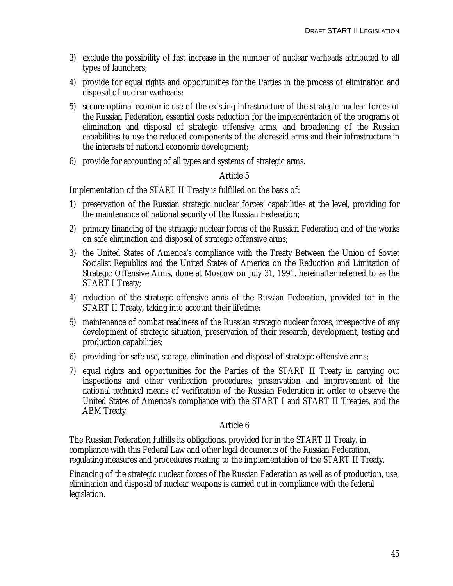- 3) exclude the possibility of fast increase in the number of nuclear warheads attributed to all types of launchers;
- 4) provide for equal rights and opportunities for the Parties in the process of elimination and disposal of nuclear warheads;
- 5) secure optimal economic use of the existing infrastructure of the strategic nuclear forces of the Russian Federation, essential costs reduction for the implementation of the programs of elimination and disposal of strategic offensive arms, and broadening of the Russian capabilities to use the reduced components of the aforesaid arms and their infrastructure in the interests of national economic development;
- 6) provide for accounting of all types and systems of strategic arms.

## Article 5

Implementation of the START II Treaty is fulfilled on the basis of:

- 1) preservation of the Russian strategic nuclear forces' capabilities at the level, providing for the maintenance of national security of the Russian Federation;
- 2) primary financing of the strategic nuclear forces of the Russian Federation and of the works on safe elimination and disposal of strategic offensive arms;
- 3) the United States of America's compliance with the Treaty Between the Union of Soviet Socialist Republics and the United States of America on the Reduction and Limitation of Strategic Offensive Arms, done at Moscow on July 31, 1991, hereinafter referred to as the START I Treaty;
- 4) reduction of the strategic offensive arms of the Russian Federation, provided for in the START II Treaty, taking into account their lifetime;
- 5) maintenance of combat readiness of the Russian strategic nuclear forces, irrespective of any development of strategic situation, preservation of their research, development, testing and production capabilities;
- 6) providing for safe use, storage, elimination and disposal of strategic offensive arms;
- 7) equal rights and opportunities for the Parties of the START II Treaty in carrying out inspections and other verification procedures; preservation and improvement of the national technical means of verification of the Russian Federation in order to observe the United States of America's compliance with the START I and START II Treaties, and the ABM Treaty.

## Article 6

The Russian Federation fulfills its obligations, provided for in the START II Treaty, in compliance with this Federal Law and other legal documents of the Russian Federation, regulating measures and procedures relating to the implementation of the START II Treaty.

Financing of the strategic nuclear forces of the Russian Federation as well as of production, use, elimination and disposal of nuclear weapons is carried out in compliance with the federal legislation.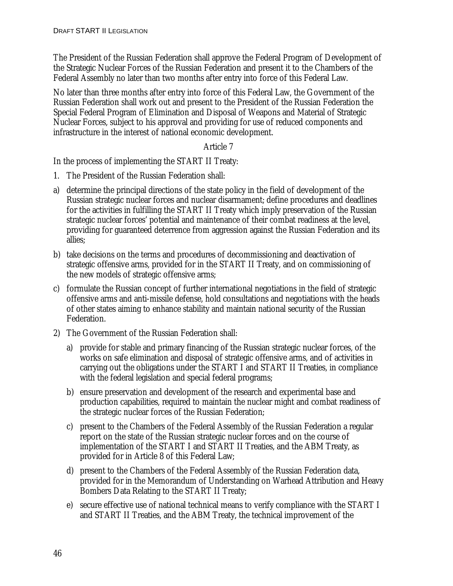The President of the Russian Federation shall approve the Federal Program of Development of the Strategic Nuclear Forces of the Russian Federation and present it to the Chambers of the Federal Assembly no later than two months after entry into force of this Federal Law.

No later than three months after entry into force of this Federal Law, the Government of the Russian Federation shall work out and present to the President of the Russian Federation the Special Federal Program of Elimination and Disposal of Weapons and Material of Strategic Nuclear Forces, subject to his approval and providing for use of reduced components and infrastructure in the interest of national economic development.

## Article 7

In the process of implementing the START II Treaty:

- 1. The President of the Russian Federation shall:
- a) determine the principal directions of the state policy in the field of development of the Russian strategic nuclear forces and nuclear disarmament; define procedures and deadlines for the activities in fulfilling the START II Treaty which imply preservation of the Russian strategic nuclear forces' potential and maintenance of their combat readiness at the level, providing for guaranteed deterrence from aggression against the Russian Federation and its allies;
- b) take decisions on the terms and procedures of decommissioning and deactivation of strategic offensive arms, provided for in the START II Treaty, and on commissioning of the new models of strategic offensive arms;
- c) formulate the Russian concept of further international negotiations in the field of strategic offensive arms and anti-missile defense, hold consultations and negotiations with the heads of other states aiming to enhance stability and maintain national security of the Russian Federation.
- 2) The Government of the Russian Federation shall:
	- a) provide for stable and primary financing of the Russian strategic nuclear forces, of the works on safe elimination and disposal of strategic offensive arms, and of activities in carrying out the obligations under the START I and START II Treaties, in compliance with the federal legislation and special federal programs;
	- b) ensure preservation and development of the research and experimental base and production capabilities, required to maintain the nuclear might and combat readiness of the strategic nuclear forces of the Russian Federation;
	- c) present to the Chambers of the Federal Assembly of the Russian Federation a regular report on the state of the Russian strategic nuclear forces and on the course of implementation of the START I and START II Treaties, and the ABM Treaty, as provided for in Article 8 of this Federal Law;
	- d) present to the Chambers of the Federal Assembly of the Russian Federation data, provided for in the Memorandum of Understanding on Warhead Attribution and Heavy Bombers Data Relating to the START II Treaty;
	- e) secure effective use of national technical means to verify compliance with the START I and START II Treaties, and the ABM Treaty, the technical improvement of the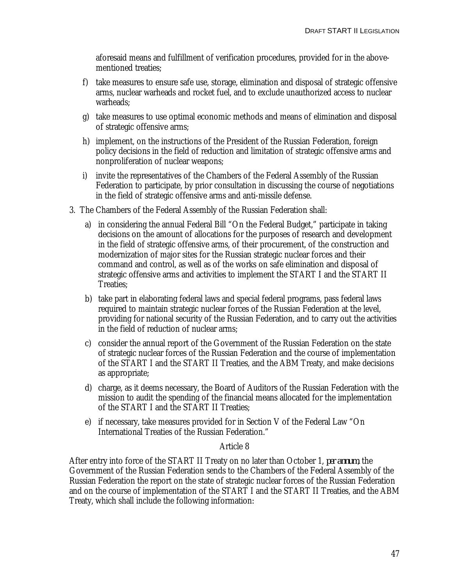aforesaid means and fulfillment of verification procedures, provided for in the abovementioned treaties;

- f) take measures to ensure safe use, storage, elimination and disposal of strategic offensive arms, nuclear warheads and rocket fuel, and to exclude unauthorized access to nuclear warheads;
- g) take measures to use optimal economic methods and means of elimination and disposal of strategic offensive arms;
- h) implement, on the instructions of the President of the Russian Federation, foreign policy decisions in the field of reduction and limitation of strategic offensive arms and nonproliferation of nuclear weapons;
- i) invite the representatives of the Chambers of the Federal Assembly of the Russian Federation to participate, by prior consultation in discussing the course of negotiations in the field of strategic offensive arms and anti-missile defense.
- 3. The Chambers of the Federal Assembly of the Russian Federation shall:
	- a) in considering the annual Federal Bill "On the Federal Budget," participate in taking decisions on the amount of allocations for the purposes of research and development in the field of strategic offensive arms, of their procurement, of the construction and modernization of major sites for the Russian strategic nuclear forces and their command and control, as well as of the works on safe elimination and disposal of strategic offensive arms and activities to implement the START I and the START II Treaties;
	- b) take part in elaborating federal laws and special federal programs, pass federal laws required to maintain strategic nuclear forces of the Russian Federation at the level, providing for national security of the Russian Federation, and to carry out the activities in the field of reduction of nuclear arms;
	- c) consider the annual report of the Government of the Russian Federation on the state of strategic nuclear forces of the Russian Federation and the course of implementation of the START I and the START II Treaties, and the ABM Treaty, and make decisions as appropriate;
	- d) charge, as it deems necessary, the Board of Auditors of the Russian Federation with the mission to audit the spending of the financial means allocated for the implementation of the START I and the START II Treaties;
	- e) if necessary, take measures provided for in Section V of the Federal Law "On International Treaties of the Russian Federation."

## Article 8

After entry into force of the START II Treaty on no later than October 1, *per annum*, the Government of the Russian Federation sends to the Chambers of the Federal Assembly of the Russian Federation the report on the state of strategic nuclear forces of the Russian Federation and on the course of implementation of the START I and the START II Treaties, and the ABM Treaty, which shall include the following information: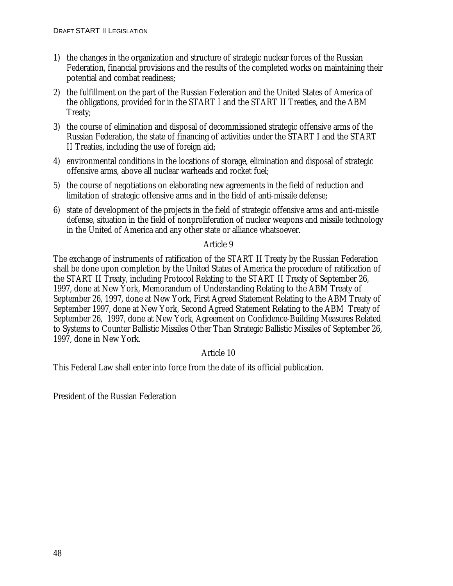- 1) the changes in the organization and structure of strategic nuclear forces of the Russian Federation, financial provisions and the results of the completed works on maintaining their potential and combat readiness;
- 2) the fulfillment on the part of the Russian Federation and the United States of America of the obligations, provided for in the START I and the START II Treaties, and the ABM Treaty;
- 3) the course of elimination and disposal of decommissioned strategic offensive arms of the Russian Federation, the state of financing of activities under the START I and the START II Treaties, including the use of foreign aid;
- 4) environmental conditions in the locations of storage, elimination and disposal of strategic offensive arms, above all nuclear warheads and rocket fuel;
- 5) the course of negotiations on elaborating new agreements in the field of reduction and limitation of strategic offensive arms and in the field of anti-missile defense;
- 6) state of development of the projects in the field of strategic offensive arms and anti-missile defense, situation in the field of nonproliferation of nuclear weapons and missile technology in the United of America and any other state or alliance whatsoever.

## Article 9

The exchange of instruments of ratification of the START II Treaty by the Russian Federation shall be done upon completion by the United States of America the procedure of ratification of the START II Treaty, including Protocol Relating to the START II Treaty of September 26, 1997, done at New York, Memorandum of Understanding Relating to the ABM Treaty of September 26, 1997, done at New York, First Agreed Statement Relating to the ABM Treaty of September 1997, done at New York, Second Agreed Statement Relating to the ABM Treaty of September 26, 1997, done at New York, Agreement on Confidence-Building Measures Related to Systems to Counter Ballistic Missiles Other Than Strategic Ballistic Missiles of September 26, 1997, done in New York.

## Article 10

This Federal Law shall enter into force from the date of its official publication.

President of the Russian Federation